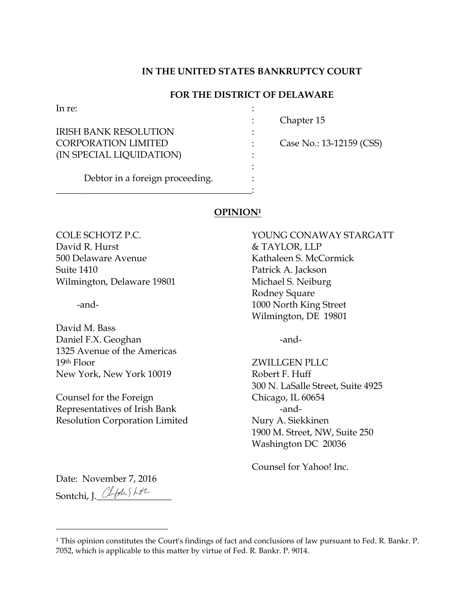# **IN THE UNITED STATES BANKRUPTCY COURT**

# **FOR THE DISTRICT OF DELAWARE**

:

In re:  $\blacksquare$ 

IRISH BANK RESOLUTION : CORPORATION LIMITED : Case No.: 13-12159 (CSS) (IN SPECIAL LIQUIDATION)

: Chapter 15

Debtor in a foreign proceeding.  $\cdot$  :

\_\_\_\_\_\_\_\_\_\_\_\_\_\_\_\_\_\_\_\_\_\_\_\_\_\_\_\_\_\_\_\_\_\_\_\_\_\_\_\_\_\_:

## **OPINION<sup>1</sup>**

David R. Hurst & TAYLOR, LLP 500 Delaware Avenue Kathaleen S. McCormick Suite 1410 **Patrick A. Jackson** Wilmington, Delaware 19801 Michael S. Neiburg

David M. Bass Daniel F.X. Geoghan -and-1325 Avenue of the Americas 19th Floor ZWILLGEN PLLC New York, New York 10019 Robert F. Huff

Counsel for the Foreign Chicago, IL 60654 Representatives of Irish Bank -and-Resolution Corporation Limited Nury A. Siekkinen

COLE SCHOTZ P.C. YOUNG CONAWAY STARGATT Rodney Square -and- 1000 North King Street Wilmington, DE 19801

300 N. LaSalle Street, Suite 4925 1900 M. Street, NW, Suite 250 Washington DC 20036

Counsel for Yahoo! Inc.

Date: November 7, 2016 Sontchi, J. Clfusht

<sup>1</sup> This opinion constitutes the Court's findings of fact and conclusions of law pursuant to Fed. R. Bankr. P. 7052, which is applicable to this matter by virtue of Fed. R. Bankr. P. 9014.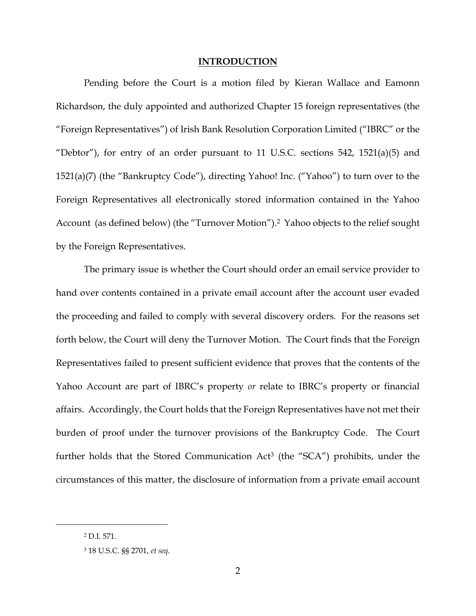### **INTRODUCTION**

Pending before the Court is a motion filed by Kieran Wallace and Eamonn Richardson, the duly appointed and authorized Chapter 15 foreign representatives (the "Foreign Representatives") of Irish Bank Resolution Corporation Limited ("IBRC" or the "Debtor"), for entry of an order pursuant to 11 U.S.C. sections  $542$ ,  $1521(a)(5)$  and 1521(a)(7) (the "Bankruptcy Code"), directing Yahoo! Inc. ("Yahoo") to turn over to the Foreign Representatives all electronically stored information contained in the Yahoo Account (as defined below) (the "Turnover Motion"). <sup>2</sup> Yahoo objects to the relief sought by the Foreign Representatives.

The primary issue is whether the Court should order an email service provider to hand over contents contained in a private email account after the account user evaded the proceeding and failed to comply with several discovery orders. For the reasons set forth below, the Court will deny the Turnover Motion. The Court finds that the Foreign Representatives failed to present sufficient evidence that proves that the contents of the Yahoo Account are part of IBRC's property *or* relate to IBRC's property or financial affairs. Accordingly, the Court holds that the Foreign Representatives have not met their burden of proof under the turnover provisions of the Bankruptcy Code. The Court further holds that the Stored Communication Act<sup>3</sup> (the "SCA") prohibits, under the circumstances of this matter, the disclosure of information from a private email account

<sup>2</sup> D.I. 571.

<sup>3</sup> 18 U.S.C. §§ 2701, *et seq*.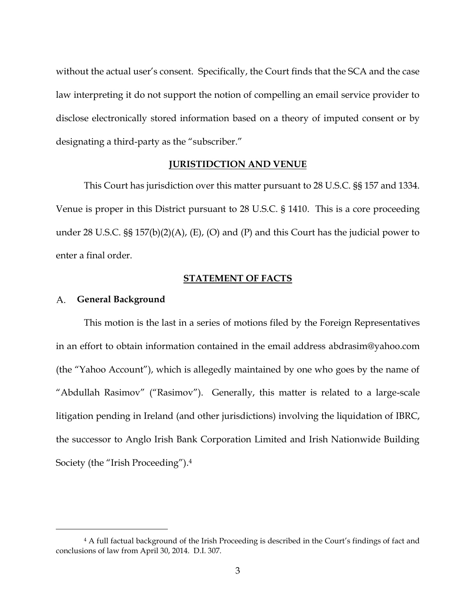without the actual user's consent. Specifically, the Court finds that the SCA and the case law interpreting it do not support the notion of compelling an email service provider to disclose electronically stored information based on a theory of imputed consent or by designating a third-party as the "subscriber."

#### **JURISTIDCTION AND VENUE**

This Court has jurisdiction over this matter pursuant to 28 U.S.C. §§ 157 and 1334. Venue is proper in this District pursuant to 28 U.S.C. § 1410. This is a core proceeding under 28 U.S.C. §§ 157(b)(2)(A), (E), (O) and (P) and this Court has the judicial power to enter a final order.

# **STATEMENT OF FACTS**

#### A. **General Background**

 $\overline{a}$ 

This motion is the last in a series of motions filed by the Foreign Representatives in an effort to obtain information contained in the email address abdrasim@yahoo.com (the "Yahoo Account"), which is allegedly maintained by one who goes by the name of "Abdullah Rasimov" ("Rasimov"). Generally, this matter is related to a large-scale litigation pending in Ireland (and other jurisdictions) involving the liquidation of IBRC, the successor to Anglo Irish Bank Corporation Limited and Irish Nationwide Building Society (the "Irish Proceeding").<sup>4</sup>

<sup>4</sup> A full factual background of the Irish Proceeding is described in the Court's findings of fact and conclusions of law from April 30, 2014. D.I. 307.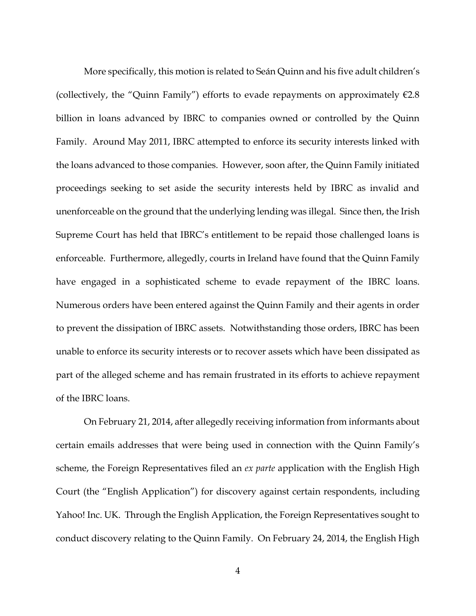More specifically, this motion is related to Seán Quinn and his five adult children's (collectively, the "Quinn Family") efforts to evade repayments on approximately  $\epsilon$ 2.8 billion in loans advanced by IBRC to companies owned or controlled by the Quinn Family. Around May 2011, IBRC attempted to enforce its security interests linked with the loans advanced to those companies. However, soon after, the Quinn Family initiated proceedings seeking to set aside the security interests held by IBRC as invalid and unenforceable on the ground that the underlying lending was illegal. Since then, the Irish Supreme Court has held that IBRC's entitlement to be repaid those challenged loans is enforceable. Furthermore, allegedly, courts in Ireland have found that the Quinn Family have engaged in a sophisticated scheme to evade repayment of the IBRC loans. Numerous orders have been entered against the Quinn Family and their agents in order to prevent the dissipation of IBRC assets. Notwithstanding those orders, IBRC has been unable to enforce its security interests or to recover assets which have been dissipated as part of the alleged scheme and has remain frustrated in its efforts to achieve repayment of the IBRC loans.

On February 21, 2014, after allegedly receiving information from informants about certain emails addresses that were being used in connection with the Quinn Family's scheme, the Foreign Representatives filed an *ex parte* application with the English High Court (the "English Application") for discovery against certain respondents, including Yahoo! Inc. UK. Through the English Application, the Foreign Representatives sought to conduct discovery relating to the Quinn Family. On February 24, 2014, the English High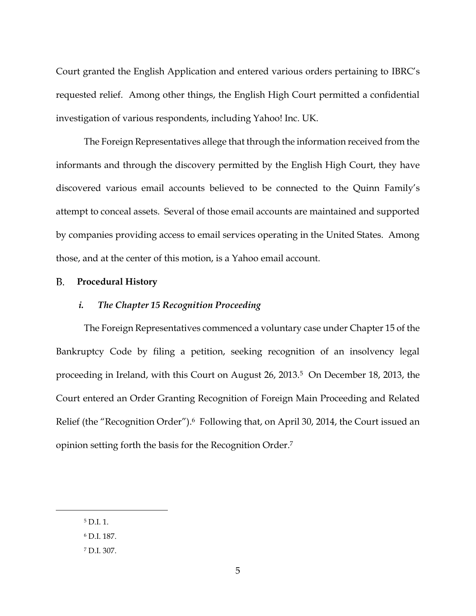Court granted the English Application and entered various orders pertaining to IBRC's requested relief. Among other things, the English High Court permitted a confidential investigation of various respondents, including Yahoo! Inc. UK.

The Foreign Representatives allege that through the information received from the informants and through the discovery permitted by the English High Court, they have discovered various email accounts believed to be connected to the Quinn Family's attempt to conceal assets. Several of those email accounts are maintained and supported by companies providing access to email services operating in the United States. Among those, and at the center of this motion, is a Yahoo email account.

#### B. **Procedural History**

## *i. The Chapter 15 Recognition Proceeding*

The Foreign Representatives commenced a voluntary case under Chapter 15 of the Bankruptcy Code by filing a petition, seeking recognition of an insolvency legal proceeding in Ireland, with this Court on August 26, 2013.5 On December 18, 2013, the Court entered an Order Granting Recognition of Foreign Main Proceeding and Related Relief (the "Recognition Order").<sup>6</sup> Following that, on April 30, 2014, the Court issued an opinion setting forth the basis for the Recognition Order. 7

<sup>5</sup> D.I. 1.

<sup>6</sup> D.I. 187.

<sup>7</sup> D.I. 307.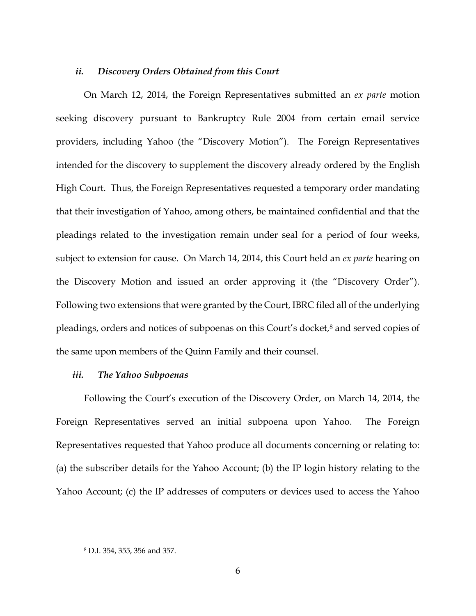## *ii. Discovery Orders Obtained from this Court*

On March 12, 2014, the Foreign Representatives submitted an *ex parte* motion seeking discovery pursuant to Bankruptcy Rule 2004 from certain email service providers, including Yahoo (the "Discovery Motion"). The Foreign Representatives intended for the discovery to supplement the discovery already ordered by the English High Court. Thus, the Foreign Representatives requested a temporary order mandating that their investigation of Yahoo, among others, be maintained confidential and that the pleadings related to the investigation remain under seal for a period of four weeks, subject to extension for cause. On March 14, 2014, this Court held an *ex parte* hearing on the Discovery Motion and issued an order approving it (the "Discovery Order"). Following two extensions that were granted by the Court, IBRC filed all of the underlying pleadings, orders and notices of subpoenas on this Court's docket,<sup>8</sup> and served copies of the same upon members of the Quinn Family and their counsel.

#### *iii. The Yahoo Subpoenas*

Following the Court's execution of the Discovery Order, on March 14, 2014, the Foreign Representatives served an initial subpoena upon Yahoo. The Foreign Representatives requested that Yahoo produce all documents concerning or relating to: (a) the subscriber details for the Yahoo Account; (b) the IP login history relating to the Yahoo Account; (c) the IP addresses of computers or devices used to access the Yahoo

<sup>8</sup> D.I. 354, 355, 356 and 357.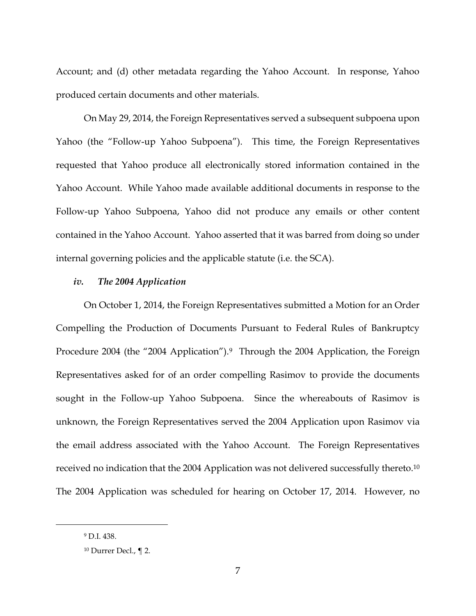Account; and (d) other metadata regarding the Yahoo Account. In response, Yahoo produced certain documents and other materials.

On May 29, 2014, the Foreign Representatives served a subsequent subpoena upon Yahoo (the "Follow-up Yahoo Subpoena"). This time, the Foreign Representatives requested that Yahoo produce all electronically stored information contained in the Yahoo Account. While Yahoo made available additional documents in response to the Follow-up Yahoo Subpoena, Yahoo did not produce any emails or other content contained in the Yahoo Account. Yahoo asserted that it was barred from doing so under internal governing policies and the applicable statute (i.e. the SCA).

# *iv. The 2004 Application*

On October 1, 2014, the Foreign Representatives submitted a Motion for an Order Compelling the Production of Documents Pursuant to Federal Rules of Bankruptcy Procedure 2004 (the "2004 Application").<sup>9</sup> Through the 2004 Application, the Foreign Representatives asked for of an order compelling Rasimov to provide the documents sought in the Follow-up Yahoo Subpoena. Since the whereabouts of Rasimov is unknown, the Foreign Representatives served the 2004 Application upon Rasimov via the email address associated with the Yahoo Account. The Foreign Representatives received no indication that the 2004 Application was not delivered successfully thereto.<sup>10</sup> The 2004 Application was scheduled for hearing on October 17, 2014. However, no

<sup>9</sup> D.I. 438.

<sup>10</sup> Durrer Decl., ¶ 2.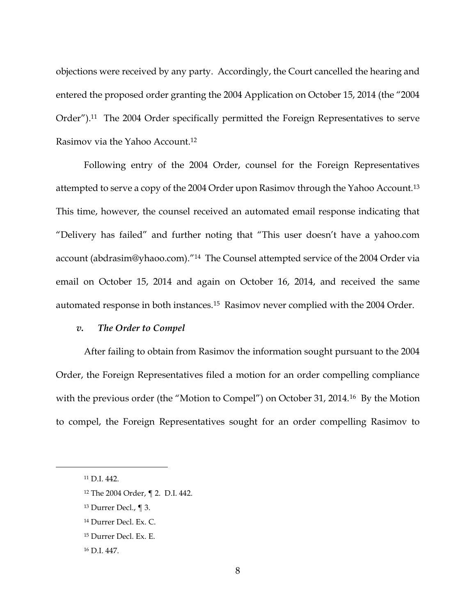objections were received by any party. Accordingly, the Court cancelled the hearing and entered the proposed order granting the 2004 Application on October 15, 2014 (the "2004 Order").11 The 2004 Order specifically permitted the Foreign Representatives to serve Rasimov via the Yahoo Account.<sup>12</sup>

Following entry of the 2004 Order, counsel for the Foreign Representatives attempted to serve a copy of the 2004 Order upon Rasimov through the Yahoo Account.<sup>13</sup> This time, however, the counsel received an automated email response indicating that "Delivery has failed" and further noting that "This user doesn't have a yahoo.com account (abdrasim@yhaoo.com)."14 The Counsel attempted service of the 2004 Order via email on October 15, 2014 and again on October 16, 2014, and received the same automated response in both instances.15 Rasimov never complied with the 2004 Order.

#### *v. The Order to Compel*

After failing to obtain from Rasimov the information sought pursuant to the 2004 Order, the Foreign Representatives filed a motion for an order compelling compliance with the previous order (the "Motion to Compel") on October 31, 2014.<sup>16</sup> By the Motion to compel, the Foreign Representatives sought for an order compelling Rasimov to

<sup>11</sup> D.I. 442.

<sup>12</sup> The 2004 Order, ¶ 2. D.I. 442.

<sup>13</sup> Durrer Decl., ¶ 3.

<sup>14</sup> Durrer Decl. Ex. C.

<sup>15</sup> Durrer Decl. Ex. E.

<sup>16</sup> D.I. 447.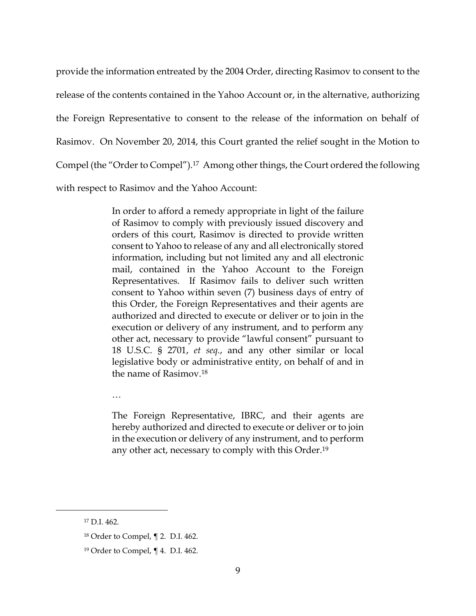provide the information entreated by the 2004 Order, directing Rasimov to consent to the release of the contents contained in the Yahoo Account or, in the alternative, authorizing the Foreign Representative to consent to the release of the information on behalf of Rasimov. On November 20, 2014, this Court granted the relief sought in the Motion to Compel (the "Order to Compel").17 Among other things, the Court ordered the following with respect to Rasimov and the Yahoo Account:

> In order to afford a remedy appropriate in light of the failure of Rasimov to comply with previously issued discovery and orders of this court, Rasimov is directed to provide written consent to Yahoo to release of any and all electronically stored information, including but not limited any and all electronic mail, contained in the Yahoo Account to the Foreign Representatives. If Rasimov fails to deliver such written consent to Yahoo within seven (7) business days of entry of this Order, the Foreign Representatives and their agents are authorized and directed to execute or deliver or to join in the execution or delivery of any instrument, and to perform any other act, necessary to provide "lawful consent" pursuant to 18 U.S.C. § 2701, *et seq.*, and any other similar or local legislative body or administrative entity, on behalf of and in the name of Rasimov.<sup>18</sup>

…

The Foreign Representative, IBRC, and their agents are hereby authorized and directed to execute or deliver or to join in the execution or delivery of any instrument, and to perform any other act, necessary to comply with this Order.<sup>19</sup>

<sup>17</sup> D.I. 462.

<sup>18</sup> Order to Compel, ¶ 2. D.I. 462.

<sup>19</sup> Order to Compel, ¶ 4. D.I. 462.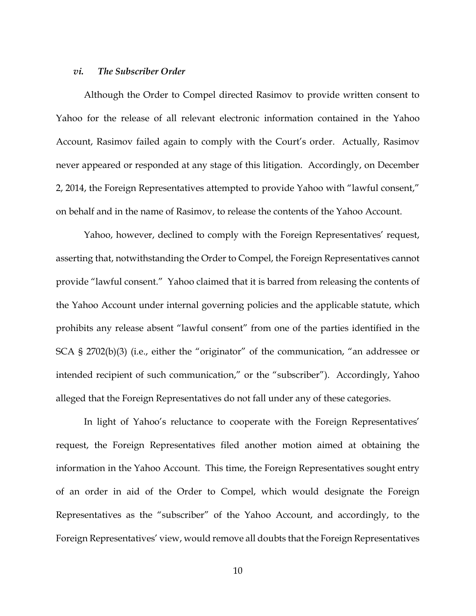# *vi. The Subscriber Order*

Although the Order to Compel directed Rasimov to provide written consent to Yahoo for the release of all relevant electronic information contained in the Yahoo Account, Rasimov failed again to comply with the Court's order. Actually, Rasimov never appeared or responded at any stage of this litigation. Accordingly, on December 2, 2014, the Foreign Representatives attempted to provide Yahoo with "lawful consent," on behalf and in the name of Rasimov, to release the contents of the Yahoo Account.

Yahoo, however, declined to comply with the Foreign Representatives' request, asserting that, notwithstanding the Order to Compel, the Foreign Representatives cannot provide "lawful consent." Yahoo claimed that it is barred from releasing the contents of the Yahoo Account under internal governing policies and the applicable statute, which prohibits any release absent "lawful consent" from one of the parties identified in the SCA § 2702(b)(3) (i.e., either the "originator" of the communication, "an addressee or intended recipient of such communication," or the "subscriber"). Accordingly, Yahoo alleged that the Foreign Representatives do not fall under any of these categories.

In light of Yahoo's reluctance to cooperate with the Foreign Representatives' request, the Foreign Representatives filed another motion aimed at obtaining the information in the Yahoo Account. This time, the Foreign Representatives sought entry of an order in aid of the Order to Compel, which would designate the Foreign Representatives as the "subscriber" of the Yahoo Account, and accordingly, to the Foreign Representatives' view, would remove all doubts that the Foreign Representatives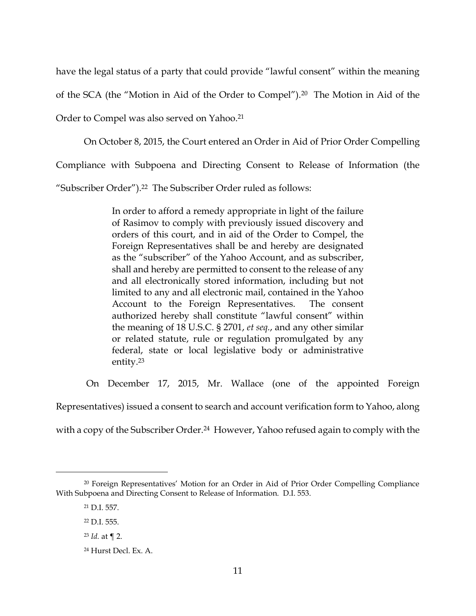have the legal status of a party that could provide "lawful consent" within the meaning

of the SCA (the "Motion in Aid of the Order to Compel").20 The Motion in Aid of the

Order to Compel was also served on Yahoo.<sup>21</sup>

On October 8, 2015, the Court entered an Order in Aid of Prior Order Compelling

Compliance with Subpoena and Directing Consent to Release of Information (the

"Subscriber Order").22 The Subscriber Order ruled as follows:

In order to afford a remedy appropriate in light of the failure of Rasimov to comply with previously issued discovery and orders of this court, and in aid of the Order to Compel, the Foreign Representatives shall be and hereby are designated as the "subscriber" of the Yahoo Account, and as subscriber, shall and hereby are permitted to consent to the release of any and all electronically stored information, including but not limited to any and all electronic mail, contained in the Yahoo Account to the Foreign Representatives. The consent authorized hereby shall constitute "lawful consent" within the meaning of 18 U.S.C. § 2701, *et seq.*, and any other similar or related statute, rule or regulation promulgated by any federal, state or local legislative body or administrative entity.<sup>23</sup>

On December 17, 2015, Mr. Wallace (one of the appointed Foreign

Representatives) issued a consent to search and account verification form to Yahoo, along

with a copy of the Subscriber Order.<sup>24</sup> However, Yahoo refused again to comply with the

<sup>20</sup> Foreign Representatives' Motion for an Order in Aid of Prior Order Compelling Compliance With Subpoena and Directing Consent to Release of Information. D.I. 553.

<sup>21</sup> D.I. 557.

<sup>22</sup> D.I. 555.

<sup>23</sup> *Id.* at ¶ 2.

<sup>24</sup> Hurst Decl. Ex. A.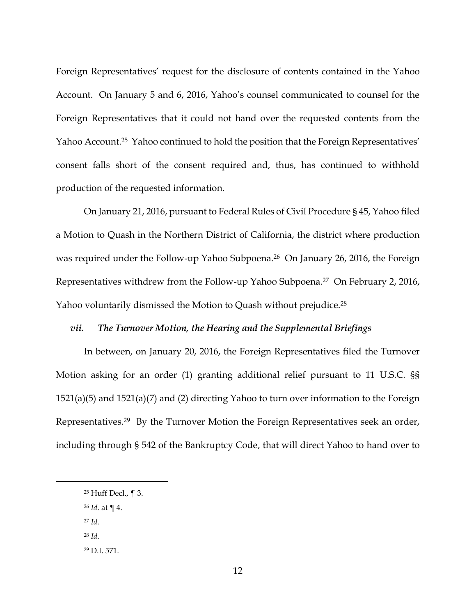Foreign Representatives' request for the disclosure of contents contained in the Yahoo Account. On January 5 and 6, 2016, Yahoo's counsel communicated to counsel for the Foreign Representatives that it could not hand over the requested contents from the Yahoo Account.25 Yahoo continued to hold the position that the Foreign Representatives' consent falls short of the consent required and, thus, has continued to withhold production of the requested information.

On January 21, 2016, pursuant to Federal Rules of Civil Procedure § 45, Yahoo filed a Motion to Quash in the Northern District of California, the district where production was required under the Follow-up Yahoo Subpoena.<sup>26</sup> On January 26, 2016, the Foreign Representatives withdrew from the Follow-up Yahoo Subpoena.27 On February 2, 2016, Yahoo voluntarily dismissed the Motion to Quash without prejudice.<sup>28</sup>

#### *vii. The Turnover Motion, the Hearing and the Supplemental Briefings*

In between, on January 20, 2016, the Foreign Representatives filed the Turnover Motion asking for an order (1) granting additional relief pursuant to 11 U.S.C. §§ 1521(a)(5) and 1521(a)(7) and (2) directing Yahoo to turn over information to the Foreign Representatives. <sup>29</sup> By the Turnover Motion the Foreign Representatives seek an order, including through § 542 of the Bankruptcy Code, that will direct Yahoo to hand over to

<sup>26</sup> *Id.* at ¶ 4.

<sup>27</sup> *Id.* 

 $\overline{a}$ 

<sup>28</sup> *Id.* 

<sup>29</sup> D.I. 571.

<sup>25</sup> Huff Decl., ¶ 3.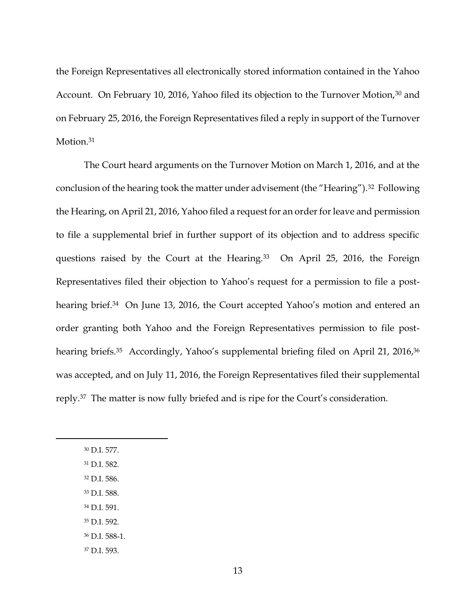the Foreign Representatives all electronically stored information contained in the Yahoo Account. On February 10, 2016, Yahoo filed its objection to the Turnover Motion,<sup>30</sup> and on February 25, 2016, the Foreign Representatives filed a reply in support of the Turnover Motion.<sup>31</sup>

The Court heard arguments on the Turnover Motion on March 1, 2016, and at the conclusion of the hearing took the matter under advisement (the "Hearing").32 Following the Hearing, on April 21, 2016, Yahoo filed a request for an order for leave and permission to file a supplemental brief in further support of its objection and to address specific questions raised by the Court at the Hearing.<sup>33</sup> On April 25, 2016, the Foreign Representatives filed their objection to Yahoo's request for a permission to file a posthearing brief.<sup>34</sup> On June 13, 2016, the Court accepted Yahoo's motion and entered an order granting both Yahoo and the Foreign Representatives permission to file posthearing briefs.<sup>35</sup> Accordingly, Yahoo's supplemental briefing filed on April 21, 2016,<sup>36</sup> was accepted, and on July 11, 2016, the Foreign Representatives filed their supplemental reply.<sup>37</sup> The matter is now fully briefed and is ripe for the Court's consideration.

<sup>30</sup> D.I. 577.

- <sup>31</sup> D.I. 582.
- <sup>32</sup> D.I. 586.
- <sup>33</sup> D.I. 588.
- <sup>34</sup> D.I. 591.
- <sup>35</sup> D.I. 592.
- <sup>36</sup> D.I. 588-1.
- <sup>37</sup> D.I. 593.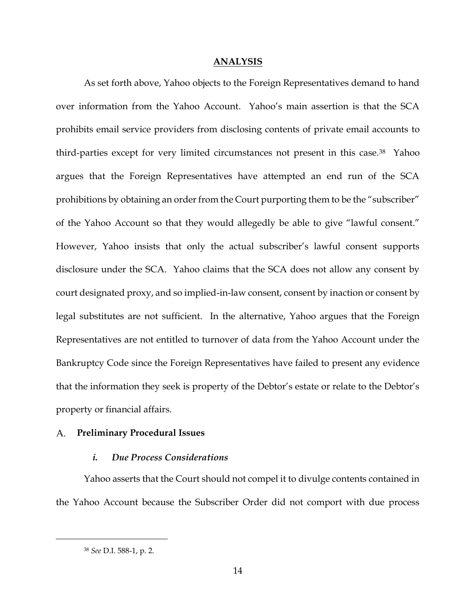#### **ANALYSIS**

As set forth above, Yahoo objects to the Foreign Representatives demand to hand over information from the Yahoo Account. Yahoo's main assertion is that the SCA prohibits email service providers from disclosing contents of private email accounts to third-parties except for very limited circumstances not present in this case.38 Yahoo argues that the Foreign Representatives have attempted an end run of the SCA prohibitions by obtaining an order from the Court purporting them to be the "subscriber" of the Yahoo Account so that they would allegedly be able to give "lawful consent." However, Yahoo insists that only the actual subscriber's lawful consent supports disclosure under the SCA. Yahoo claims that the SCA does not allow any consent by court designated proxy, and so implied-in-law consent, consent by inaction or consent by legal substitutes are not sufficient. In the alternative, Yahoo argues that the Foreign Representatives are not entitled to turnover of data from the Yahoo Account under the Bankruptcy Code since the Foreign Representatives have failed to present any evidence that the information they seek is property of the Debtor's estate or relate to the Debtor's property or financial affairs.

### **Preliminary Procedural Issues**

# *i. Due Process Considerations*

Yahoo asserts that the Court should not compel it to divulge contents contained in the Yahoo Account because the Subscriber Order did not comport with due process

<sup>38</sup> *See* D.I. 588-1, p. 2.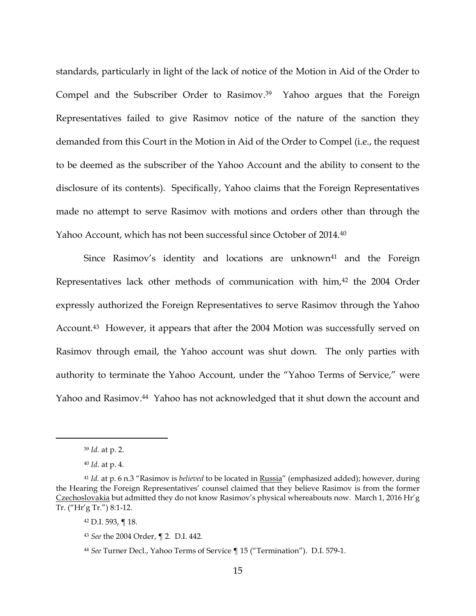standards, particularly in light of the lack of notice of the Motion in Aid of the Order to Compel and the Subscriber Order to Rasimov.<sup>39</sup> Yahoo argues that the Foreign Representatives failed to give Rasimov notice of the nature of the sanction they demanded from this Court in the Motion in Aid of the Order to Compel (i.e., the request to be deemed as the subscriber of the Yahoo Account and the ability to consent to the disclosure of its contents). Specifically, Yahoo claims that the Foreign Representatives made no attempt to serve Rasimov with motions and orders other than through the Yahoo Account, which has not been successful since October of 2014.<sup>40</sup>

Since Rasimov's identity and locations are unknown<sup>41</sup> and the Foreign Representatives lack other methods of communication with him,<sup>42</sup> the 2004 Order expressly authorized the Foreign Representatives to serve Rasimov through the Yahoo Account.<sup>43</sup> However, it appears that after the 2004 Motion was successfully served on Rasimov through email, the Yahoo account was shut down. The only parties with authority to terminate the Yahoo Account, under the "Yahoo Terms of Service," were Yahoo and Rasimov.<sup>44</sup> Yahoo has not acknowledged that it shut down the account and

<sup>39</sup> *Id.* at p. 2.

<sup>40</sup> *Id.* at p. 4.

<sup>41</sup> *Id.* at p. 6 n.3 "Rasimov is *believed* to be located in Russia" (emphasized added); however, during the Hearing the Foreign Representatives' counsel claimed that they believe Rasimov is from the former Czechoslovakia but admitted they do not know Rasimov's physical whereabouts now. March 1, 2016 Hr'g Tr. ("Hr'g Tr.") 8:1-12.

<sup>42</sup> D.I. 593, ¶ 18.

<sup>43</sup> *See* the 2004 Order, ¶ 2. D.I. 442.

<sup>44</sup> *See* Turner Decl., Yahoo Terms of Service ¶ 15 ("Termination"). D.I. 579-1.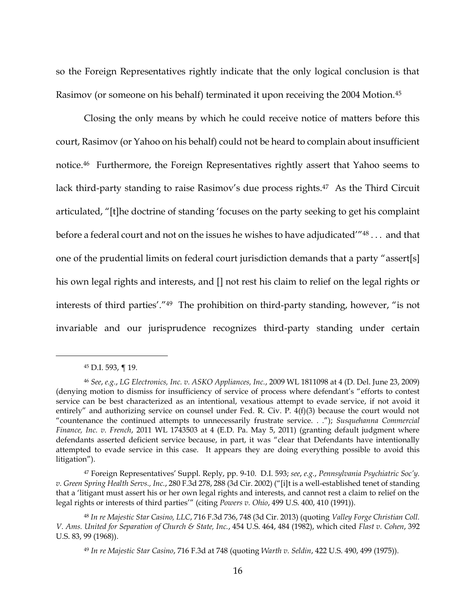so the Foreign Representatives rightly indicate that the only logical conclusion is that Rasimov (or someone on his behalf) terminated it upon receiving the 2004 Motion.<sup>45</sup>

Closing the only means by which he could receive notice of matters before this court, Rasimov (or Yahoo on his behalf) could not be heard to complain about insufficient notice.46 Furthermore, the Foreign Representatives rightly assert that Yahoo seems to lack third-party standing to raise Rasimov's due process rights.<sup>47</sup> As the Third Circuit articulated, "[t]he doctrine of standing 'focuses on the party seeking to get his complaint before a federal court and not on the issues he wishes to have adjudicated'"<sup>48</sup> . . . and that one of the prudential limits on federal court jurisdiction demands that a party "assert[s] his own legal rights and interests, and [] not rest his claim to relief on the legal rights or interests of third parties'."49 The prohibition on third-party standing, however, "is not invariable and our jurisprudence recognizes third-party standing under certain

<sup>45</sup> D.I. 593, ¶ 19.

<sup>46</sup> *See*, *e.g.*, *LG Electronics, Inc. v. ASKO Appliances, Inc.*, 2009 WL 1811098 at 4 (D. Del. June 23, 2009) (denying motion to dismiss for insufficiency of service of process where defendant's "efforts to contest service can be best characterized as an intentional, vexatious attempt to evade service, if not avoid it entirely" and authorizing service on counsel under Fed. R. Civ. P. 4(f)(3) because the court would not "countenance the continued attempts to unnecessarily frustrate service. . ."); *Susquehanna Commercial Finance, Inc. v. French*, 2011 WL 1743503 at 4 (E.D. Pa. May 5, 2011) (granting default judgment where defendants asserted deficient service because, in part, it was "clear that Defendants have intentionally attempted to evade service in this case. It appears they are doing everything possible to avoid this litigation").

<sup>47</sup> Foreign Representatives' Suppl. Reply, pp. 9-10. D.I. 593; *see*, *e.g.*, *Pennsylvania Psychiatric Soc'y. v. Green Spring Health Servs., Inc.*, 280 F.3d 278, 288 (3d Cir. 2002) ("[i]t is a well-established tenet of standing that a 'litigant must assert his or her own legal rights and interests, and cannot rest a claim to relief on the legal rights or interests of third parties'" (citing *Powers v. Ohio*, 499 U.S. 400, 410 (1991)).

<sup>48</sup> *In re Majestic Star Casino, LLC*, 716 F.3d 736, 748 (3d Cir. 2013) (quoting *Valley Forge Christian Coll. V. Ams. United for Separation of Church & State, Inc.*, 454 U.S. 464, 484 (1982), which cited *Flast v. Cohen*, 392 U.S. 83, 99 (1968)).

<sup>49</sup> *In re Majestic Star Casino*, 716 F.3d at 748 (quoting *Warth v. Seldin*, 422 U.S. 490, 499 (1975)).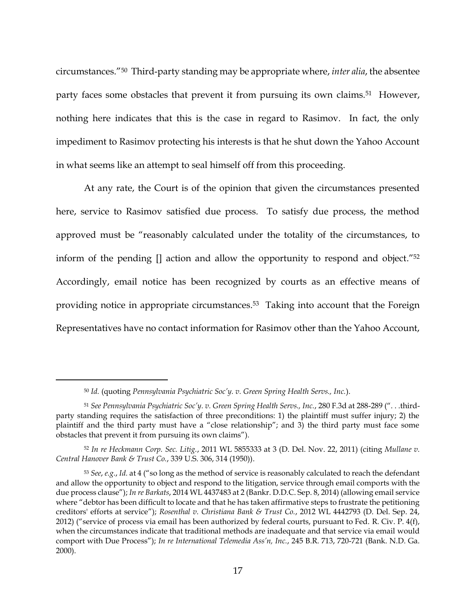circumstances."<sup>50</sup> Third-party standing may be appropriate where, *inter alia*, the absentee party faces some obstacles that prevent it from pursuing its own claims.<sup>51</sup> However, nothing here indicates that this is the case in regard to Rasimov. In fact, the only impediment to Rasimov protecting his interests is that he shut down the Yahoo Account in what seems like an attempt to seal himself off from this proceeding.

At any rate, the Court is of the opinion that given the circumstances presented here, service to Rasimov satisfied due process. To satisfy due process, the method approved must be "reasonably calculated under the totality of the circumstances, to inform of the pending [] action and allow the opportunity to respond and object."<sup>52</sup> Accordingly, email notice has been recognized by courts as an effective means of providing notice in appropriate circumstances. <sup>53</sup> Taking into account that the Foreign Representatives have no contact information for Rasimov other than the Yahoo Account,

<sup>50</sup> *Id.* (quoting *Pennsylvania Psychiatric Soc'y. v. Green Spring Health Servs., Inc.*).

<sup>51</sup> *See Pennsylvania Psychiatric Soc'y. v. Green Spring Health Servs., Inc.*, 280 F.3d at 288-289 (". . .thirdparty standing requires the satisfaction of three preconditions: 1) the plaintiff must suffer injury; 2) the plaintiff and the third party must have a "close relationship"; and 3) the third party must face some obstacles that prevent it from pursuing its own claims").

<sup>52</sup> *In re Heckmann Corp. Sec. Litig.*, 2011 WL 5855333 at 3 (D. Del. Nov. 22, 2011) (citing *Mullane v. Central Hanover Bank & Trust Co.*, 339 U.S. 306, 314 (1950)).

<sup>53</sup> *See*, *e.g.*, *Id.* at 4 ("so long as the method of service is reasonably calculated to reach the defendant and allow the opportunity to object and respond to the litigation, service through email comports with the due process clause"); *In re Barkats*, 2014 WL 4437483 at 2 (Bankr. D.D.C. Sep. 8, 2014) (allowing email service where "debtor has been difficult to locate and that he has taken affirmative steps to frustrate the petitioning creditors' efforts at service"); *Rosenthal v. Christiana Bank & Trust Co.*, 2012 WL 4442793 (D. Del. Sep. 24, 2012) ("service of process via email has been authorized by federal courts, pursuant to Fed. R. Civ. P. 4(f), when the circumstances indicate that traditional methods are inadequate and that service via email would comport with Due Process"); *In re International Telemedia Ass'n, Inc.*, 245 B.R. 713, 720-721 (Bank. N.D. Ga. 2000).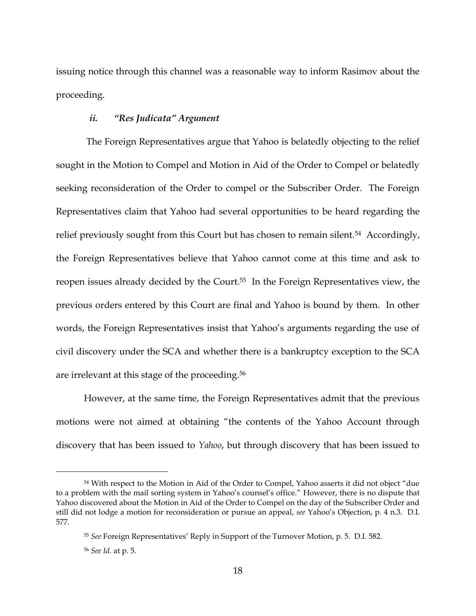issuing notice through this channel was a reasonable way to inform Rasimov about the proceeding.

# *ii. "Res Judicata" Argument*

The Foreign Representatives argue that Yahoo is belatedly objecting to the relief sought in the Motion to Compel and Motion in Aid of the Order to Compel or belatedly seeking reconsideration of the Order to compel or the Subscriber Order. The Foreign Representatives claim that Yahoo had several opportunities to be heard regarding the relief previously sought from this Court but has chosen to remain silent.<sup>54</sup> Accordingly, the Foreign Representatives believe that Yahoo cannot come at this time and ask to reopen issues already decided by the Court.55 In the Foreign Representatives view, the previous orders entered by this Court are final and Yahoo is bound by them. In other words, the Foreign Representatives insist that Yahoo's arguments regarding the use of civil discovery under the SCA and whether there is a bankruptcy exception to the SCA are irrelevant at this stage of the proceeding.<sup>56</sup>

However, at the same time, the Foreign Representatives admit that the previous motions were not aimed at obtaining "the contents of the Yahoo Account through discovery that has been issued to *Yahoo*, but through discovery that has been issued to

<sup>54</sup> With respect to the Motion in Aid of the Order to Compel, Yahoo asserts it did not object "due to a problem with the mail sorting system in Yahoo's counsel's office." However, there is no dispute that Yahoo discovered about the Motion in Aid of the Order to Compel on the day of the Subscriber Order and still did not lodge a motion for reconsideration or pursue an appeal, *see* Yahoo's Objection, p. 4 n.3. D.I. 577.

<sup>55</sup> *See* Foreign Representatives' Reply in Support of the Turnover Motion, p. 5. D.I. 582.

<sup>56</sup> *See Id.* at p. 5.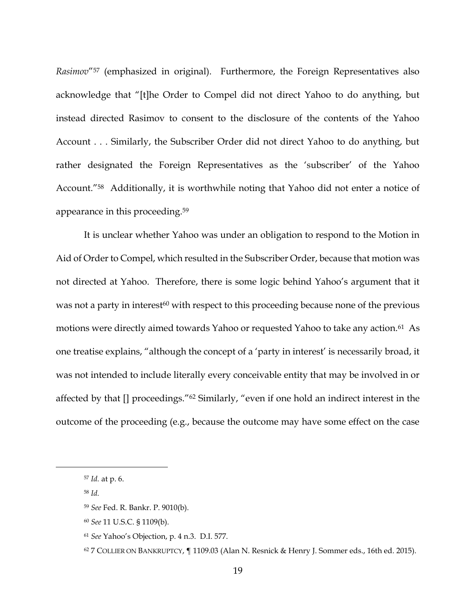*Rasimov*"<sup>57</sup> (emphasized in original). Furthermore, the Foreign Representatives also acknowledge that "[t]he Order to Compel did not direct Yahoo to do anything, but instead directed Rasimov to consent to the disclosure of the contents of the Yahoo Account . . . Similarly, the Subscriber Order did not direct Yahoo to do anything, but rather designated the Foreign Representatives as the 'subscriber' of the Yahoo Account."58 Additionally, it is worthwhile noting that Yahoo did not enter a notice of appearance in this proceeding.<sup>59</sup>

It is unclear whether Yahoo was under an obligation to respond to the Motion in Aid of Order to Compel, which resulted in the Subscriber Order, because that motion was not directed at Yahoo. Therefore, there is some logic behind Yahoo's argument that it was not a party in interest<sup>60</sup> with respect to this proceeding because none of the previous motions were directly aimed towards Yahoo or requested Yahoo to take any action.<sup>61</sup> As one treatise explains, "although the concept of a 'party in interest' is necessarily broad, it was not intended to include literally every conceivable entity that may be involved in or affected by that [] proceedings."<sup>62</sup> Similarly, "even if one hold an indirect interest in the outcome of the proceeding (e.g., because the outcome may have some effect on the case

<sup>57</sup> *Id.* at p. 6.

<sup>58</sup> *Id.*

<sup>59</sup> *See* Fed. R. Bankr. P. 9010(b).

<sup>60</sup> *See* 11 U.S.C. § 1109(b).

<sup>61</sup> *See* Yahoo's Objection, p. 4 n.3. D.I. 577.

 $62$  7 COLLIER ON BANKRUPTCY,  $\P$  1109.03 (Alan N. Resnick & Henry J. Sommer eds., 16th ed. 2015).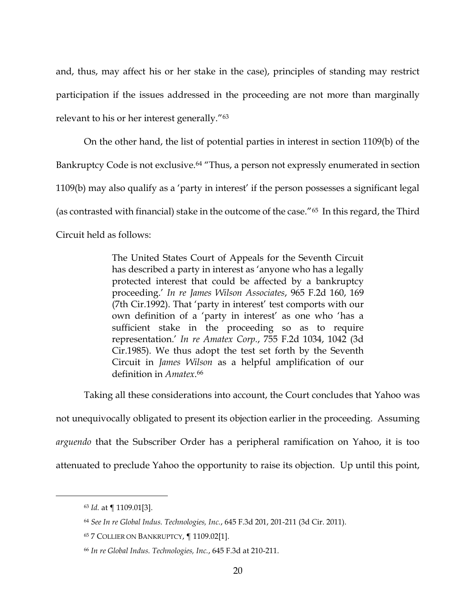and, thus, may affect his or her stake in the case), principles of standing may restrict participation if the issues addressed in the proceeding are not more than marginally relevant to his or her interest generally."<sup>63</sup>

On the other hand, the list of potential parties in interest in section 1109(b) of the Bankruptcy Code is not exclusive.<sup>64</sup> "Thus, a person not expressly enumerated in section 1109(b) may also qualify as a 'party in interest' if the person possesses a significant legal (as contrasted with financial) stake in the outcome of the case."65 In this regard, the Third Circuit held as follows:

> The United States Court of Appeals for the Seventh Circuit has described a party in interest as 'anyone who has a legally protected interest that could be affected by a bankruptcy proceeding.' *In re James Wilson Associates*, 965 F.2d 160, 169 (7th Cir.1992). That 'party in interest' test comports with our own definition of a 'party in interest' as one who 'has a sufficient stake in the proceeding so as to require representation.' *In re Amatex Corp.*, 755 F.2d 1034, 1042 (3d Cir.1985). We thus adopt the test set forth by the Seventh Circuit in *James Wilson* as a helpful amplification of our definition in *Amatex*. 66

Taking all these considerations into account, the Court concludes that Yahoo was not unequivocally obligated to present its objection earlier in the proceeding. Assuming

*arguendo* that the Subscriber Order has a peripheral ramification on Yahoo, it is too

attenuated to preclude Yahoo the opportunity to raise its objection. Up until this point,

<sup>63</sup> *Id.* at ¶ 1109.01[3].

<sup>64</sup> *See In re Global Indus. Technologies, Inc.*, 645 F.3d 201, 201-211 (3d Cir. 2011).

<sup>65</sup> 7 COLLIER ON BANKRUPTCY, ¶ 1109.02[1].

<sup>66</sup> *In re Global Indus. Technologies, Inc.*, 645 F.3d at 210-211.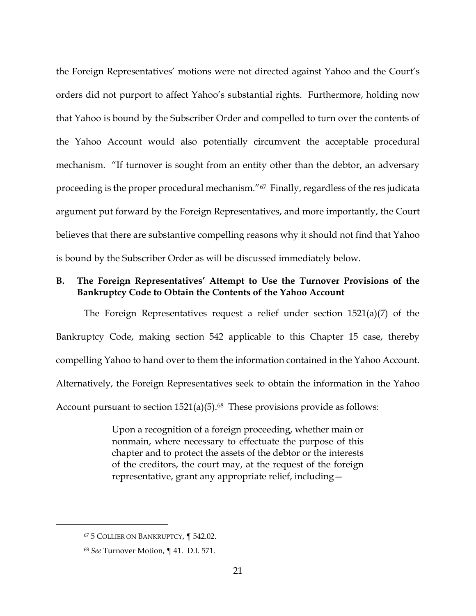the Foreign Representatives' motions were not directed against Yahoo and the Court's orders did not purport to affect Yahoo's substantial rights. Furthermore, holding now that Yahoo is bound by the Subscriber Order and compelled to turn over the contents of the Yahoo Account would also potentially circumvent the acceptable procedural mechanism. "If turnover is sought from an entity other than the debtor, an adversary proceeding is the proper procedural mechanism."<sup>67</sup> Finally, regardless of the res judicata argument put forward by the Foreign Representatives, and more importantly, the Court believes that there are substantive compelling reasons why it should not find that Yahoo is bound by the Subscriber Order as will be discussed immediately below.

# **B. The Foreign Representatives' Attempt to Use the Turnover Provisions of the Bankruptcy Code to Obtain the Contents of the Yahoo Account**

The Foreign Representatives request a relief under section 1521(a)(7) of the Bankruptcy Code, making section 542 applicable to this Chapter 15 case, thereby compelling Yahoo to hand over to them the information contained in the Yahoo Account. Alternatively, the Foreign Representatives seek to obtain the information in the Yahoo Account pursuant to section  $1521(a)(5)$ .<sup>68</sup> These provisions provide as follows:

> Upon a recognition of a foreign proceeding, whether main or nonmain, where necessary to effectuate the purpose of this chapter and to protect the assets of the debtor or the interests of the creditors, the court may, at the request of the foreign representative, grant any appropriate relief, including—

<sup>67</sup> 5 COLLIER ON BANKRUPTCY, ¶ 542.02.

<sup>68</sup> *See* Turnover Motion, ¶ 41. D.I. 571.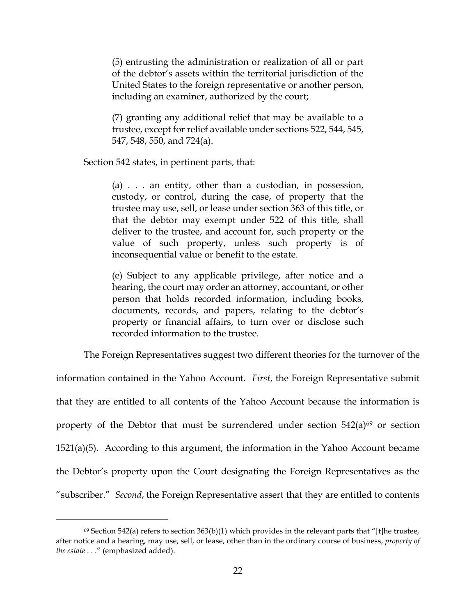(5) entrusting the administration or realization of all or part of the debtor's assets within the territorial jurisdiction of the United States to the foreign representative or another person, including an examiner, authorized by the court;

(7) granting any additional relief that may be available to a trustee, except for relief available under sections 522, 544, 545, 547, 548, 550, and 724(a).

Section 542 states, in pertinent parts, that:

 $\overline{a}$ 

(a) . . . an entity, other than a custodian, in possession, custody, or control, during the case, of property that the trustee may use, sell, or lease under section 363 of this title, or that the debtor may exempt under 522 of this title, shall deliver to the trustee, and account for, such property or the value of such property, unless such property is of inconsequential value or benefit to the estate.

(e) Subject to any applicable privilege, after notice and a hearing, the court may order an attorney, accountant, or other person that holds recorded information, including books, documents, records, and papers, relating to the debtor's property or financial affairs, to turn over or disclose such recorded information to the trustee.

The Foreign Representatives suggest two different theories for the turnover of the

information contained in the Yahoo Account. *First*, the Foreign Representative submit that they are entitled to all contents of the Yahoo Account because the information is property of the Debtor that must be surrendered under section  $542(a)^{69}$  or section 1521(a)(5). According to this argument, the information in the Yahoo Account became the Debtor's property upon the Court designating the Foreign Representatives as the "subscriber." *Second*, the Foreign Representative assert that they are entitled to contents

 $69$  Section 542(a) refers to section 363(b)(1) which provides in the relevant parts that "[t]he trustee, after notice and a hearing, may use, sell, or lease, other than in the ordinary course of business, *property of the estate* . . ." (emphasized added).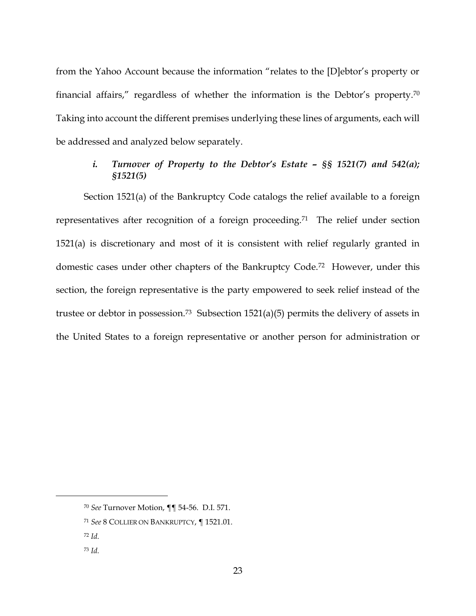from the Yahoo Account because the information "relates to the [D]ebtor's property or financial affairs," regardless of whether the information is the Debtor's property.<sup>70</sup> Taking into account the different premises underlying these lines of arguments, each will be addressed and analyzed below separately.

# *i. Turnover of Property to the Debtor's Estate – §§ 1521(7) and 542(a); §1521(5)*

Section 1521(a) of the Bankruptcy Code catalogs the relief available to a foreign representatives after recognition of a foreign proceeding.71 The relief under section 1521(a) is discretionary and most of it is consistent with relief regularly granted in domestic cases under other chapters of the Bankruptcy Code.72 However, under this section, the foreign representative is the party empowered to seek relief instead of the trustee or debtor in possession.<sup>73</sup> Subsection 1521(a)(5) permits the delivery of assets in the United States to a foreign representative or another person for administration or

<sup>70</sup> *See* Turnover Motion, ¶¶ 54-56. D.I. 571.

<sup>71</sup> *See* 8 COLLIER ON BANKRUPTCY, ¶ 1521.01.

<sup>72</sup> *Id.*

<sup>73</sup> *Id.*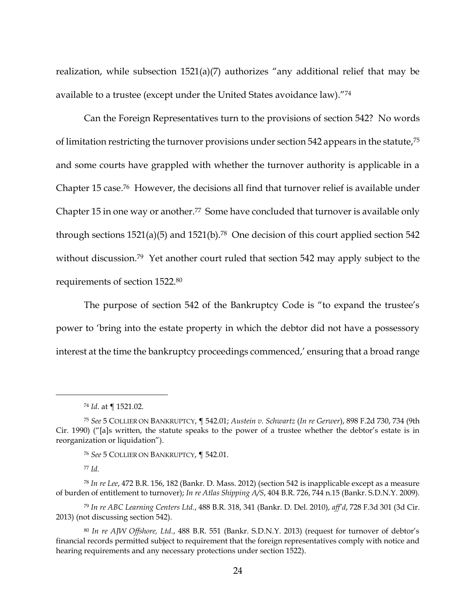realization, while subsection 1521(a)(7) authorizes "any additional relief that may be available to a trustee (except under the United States avoidance law)."<sup>74</sup>

Can the Foreign Representatives turn to the provisions of section 542? No words of limitation restricting the turnover provisions under section 542 appears in the statute,<sup>75</sup> and some courts have grappled with whether the turnover authority is applicable in a Chapter 15 case.76 However, the decisions all find that turnover relief is available under Chapter 15 in one way or another.<sup>77</sup> Some have concluded that turnover is available only through sections  $1521(a)(5)$  and  $1521(b).^{78}$  One decision of this court applied section 542 without discussion.<sup>79</sup> Yet another court ruled that section 542 may apply subject to the requirements of section 1522.<sup>80</sup>

The purpose of section 542 of the Bankruptcy Code is "to expand the trustee's power to 'bring into the estate property in which the debtor did not have a possessory interest at the time the bankruptcy proceedings commenced,' ensuring that a broad range

<sup>77</sup> *Id.*

<sup>74</sup> *Id.* at ¶ 1521.02.

<sup>75</sup> *See* 5 COLLIER ON BANKRUPTCY, ¶ 542.01; *Austein v. Schwartz* (*In re Gerwer*), 898 F.2d 730, 734 (9th Cir. 1990) ("[a]s written, the statute speaks to the power of a trustee whether the debtor's estate is in reorganization or liquidation").

<sup>76</sup> *See* 5 COLLIER ON BANKRUPTCY, ¶ 542.01.

<sup>78</sup> *In re Lee*, 472 B.R. 156, 182 (Bankr. D. Mass. 2012) (section 542 is inapplicable except as a measure of burden of entitlement to turnover); *In re Atlas Shipping A/S*, 404 B.R. 726, 744 n.15 (Bankr. S.D.N.Y. 2009).

<sup>79</sup> *In re ABC Learning Centers Ltd.*, 488 B.R. 318, 341 (Bankr. D. Del. 2010), *aff'd*, 728 F.3d 301 (3d Cir. 2013) (not discussing section 542).

<sup>80</sup> *In re AJW Offshore, Ltd.*, 488 B.R. 551 (Bankr. S.D.N.Y. 2013) (request for turnover of debtor's financial records permitted subject to requirement that the foreign representatives comply with notice and hearing requirements and any necessary protections under section 1522).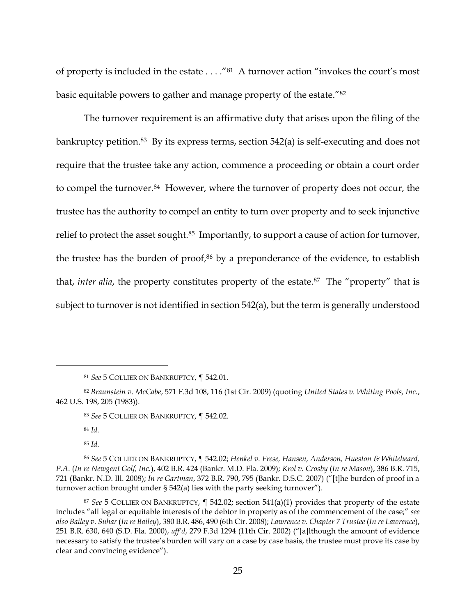of property is included in the estate . . . ."<sup>81</sup> A turnover action "invokes the court's most basic equitable powers to gather and manage property of the estate."<sup>82</sup>

The turnover requirement is an affirmative duty that arises upon the filing of the bankruptcy petition.<sup>83</sup> By its express terms, section 542(a) is self-executing and does not require that the trustee take any action, commence a proceeding or obtain a court order to compel the turnover.<sup>84</sup> However, where the turnover of property does not occur, the trustee has the authority to compel an entity to turn over property and to seek injunctive relief to protect the asset sought.<sup>85</sup> Importantly, to support a cause of action for turnover, the trustee has the burden of proof,<sup>86</sup> by a preponderance of the evidence, to establish that, *inter alia*, the property constitutes property of the estate.<sup>87</sup> The "property" that is subject to turnover is not identified in section 542(a), but the term is generally understood

<sup>84</sup> *Id.*

 $\overline{a}$ 

<sup>85</sup> *Id.*

<sup>81</sup> *See* 5 COLLIER ON BANKRUPTCY, ¶ 542.01.

<sup>82</sup> *Braunstein v. McCabe*, 571 F.3d 108, 116 (1st Cir. 2009) (quoting *United States v. Whiting Pools, Inc.*, 462 U.S. 198, 205 (1983)).

<sup>83</sup> *See* 5 COLLIER ON BANKRUPTCY, ¶ 542.02.

<sup>86</sup> *See* 5 COLLIER ON BANKRUPTCY, ¶ 542.02; *Henkel v. Frese, Hansen, Anderson, Hueston & Whiteheard, P.A.* (*In re Newgent Golf, Inc.*), 402 B.R. 424 (Bankr. M.D. Fla. 2009); *Krol v. Crosby* (*In re Mason*), 386 B.R. 715, 721 (Bankr. N.D. Ill. 2008); *In re Gartman*, 372 B.R. 790, 795 (Bankr. D.S.C. 2007) ("[t]he burden of proof in a turnover action brought under § 542(a) lies with the party seeking turnover").

<sup>87</sup> *See* 5 COLLIER ON BANKRUPTCY, ¶ 542.02; section 541(a)(1) provides that property of the estate includes "all legal or equitable interests of the debtor in property as of the commencement of the case;" *see also Bailey v. Suhar* (*In re Bailey*), 380 B.R. 486, 490 (6th Cir. 2008); *Lawrence v. Chapter 7 Trustee* (*In re Lawrence*), 251 B.R. 630, 640 (S.D. Fla. 2000), *aff'd*, 279 F.3d 1294 (11th Cir. 2002) ("[a]lthough the amount of evidence necessary to satisfy the trustee's burden will vary on a case by case basis, the trustee must prove its case by clear and convincing evidence").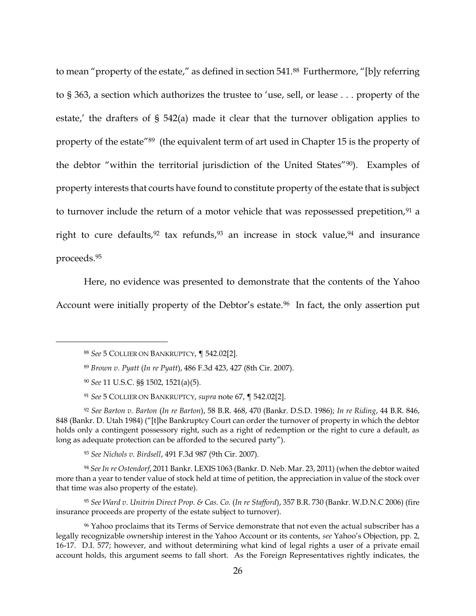to mean "property of the estate," as defined in section 541.88 Furthermore, "[b]y referring to § 363, a section which authorizes the trustee to 'use, sell, or lease . . . property of the estate,' the drafters of § 542(a) made it clear that the turnover obligation applies to property of the estate"89 (the equivalent term of art used in Chapter 15 is the property of the debtor "within the territorial jurisdiction of the United States"90). Examples of property interests that courts have found to constitute property of the estate that is subject to turnover include the return of a motor vehicle that was repossessed prepetition, $91$  a right to cure defaults,  $92$  tax refunds,  $93$  an increase in stock value,  $94$  and insurance proceeds.<sup>95</sup>

Here, no evidence was presented to demonstrate that the contents of the Yahoo Account were initially property of the Debtor's estate.<sup>96</sup> In fact, the only assertion put

 $\overline{a}$ 

<sup>93</sup> *See Nichols v. Birdsell*, 491 F.3d 987 (9th Cir. 2007).

<sup>94</sup> *See In re Ostendorf*, 2011 Bankr. LEXIS 1063 (Bankr. D. Neb. Mar. 23, 2011) (when the debtor waited more than a year to tender value of stock held at time of petition, the appreciation in value of the stock over that time was also property of the estate).

<sup>95</sup> *See Ward v. Unitrin Direct Prop. & Cas. Co.* (*In re Stafford*), 357 B.R. 730 (Bankr. W.D.N.C 2006) (fire insurance proceeds are property of the estate subject to turnover).

<sup>96</sup> Yahoo proclaims that its Terms of Service demonstrate that not even the actual subscriber has a legally recognizable ownership interest in the Yahoo Account or its contents, *see* Yahoo's Objection, pp. 2, 16-17. D.I. 577; however, and without determining what kind of legal rights a user of a private email account holds, this argument seems to fall short. As the Foreign Representatives rightly indicates, the

<sup>88</sup> *See* 5 COLLIER ON BANKRUPTCY, ¶ 542.02[2].

<sup>89</sup> *Brown v. Pyatt* (*In re Pyatt*), 486 F.3d 423, 427 (8th Cir. 2007).

<sup>90</sup> *See* 11 U.S.C. §§ 1502, 1521(a)(5).

<sup>91</sup> *See* 5 COLLIER ON BANKRUPTCY, *supra* note 67, ¶ 542.02[2].

<sup>92</sup> *See Barton v. Barton* (*In re Barton*), 58 B.R. 468, 470 (Bankr. D.S.D. 1986); *In re Riding*, 44 B.R. 846, 848 (Bankr. D. Utah 1984) ("[t]he Bankruptcy Court can order the turnover of property in which the debtor holds only a contingent possessory right, such as a right of redemption or the right to cure a default, as long as adequate protection can be afforded to the secured party").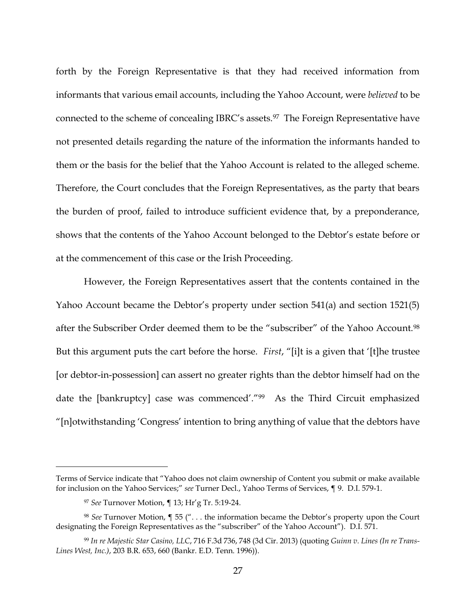forth by the Foreign Representative is that they had received information from informants that various email accounts, including the Yahoo Account, were *believed* to be connected to the scheme of concealing IBRC's assets.<sup>97</sup> The Foreign Representative have not presented details regarding the nature of the information the informants handed to them or the basis for the belief that the Yahoo Account is related to the alleged scheme. Therefore, the Court concludes that the Foreign Representatives, as the party that bears the burden of proof, failed to introduce sufficient evidence that, by a preponderance, shows that the contents of the Yahoo Account belonged to the Debtor's estate before or at the commencement of this case or the Irish Proceeding.

However, the Foreign Representatives assert that the contents contained in the Yahoo Account became the Debtor's property under section 541(a) and section 1521(5) after the Subscriber Order deemed them to be the "subscriber" of the Yahoo Account.<sup>98</sup> But this argument puts the cart before the horse. *First*, "[i]t is a given that '[t]he trustee [or debtor-in-possession] can assert no greater rights than the debtor himself had on the date the [bankruptcy] case was commenced'."99 As the Third Circuit emphasized "[n]otwithstanding 'Congress' intention to bring anything of value that the debtors have

Terms of Service indicate that "Yahoo does not claim ownership of Content you submit or make available for inclusion on the Yahoo Services;" *see* Turner Decl., Yahoo Terms of Services, ¶ 9. D.I. 579-1.

<sup>97</sup> *See* Turnover Motion, ¶ 13; Hr'g Tr. 5:19-24.

<sup>98</sup> *See* Turnover Motion, ¶ 55 (". . . the information became the Debtor's property upon the Court designating the Foreign Representatives as the "subscriber" of the Yahoo Account"). D.I. 571.

<sup>99</sup> *In re Majestic Star Casino, LLC*, 716 F.3d 736, 748 (3d Cir. 2013) (quoting *Guinn v. Lines (In re Trans-Lines West, Inc.)*, 203 B.R. 653, 660 (Bankr. E.D. Tenn. 1996)).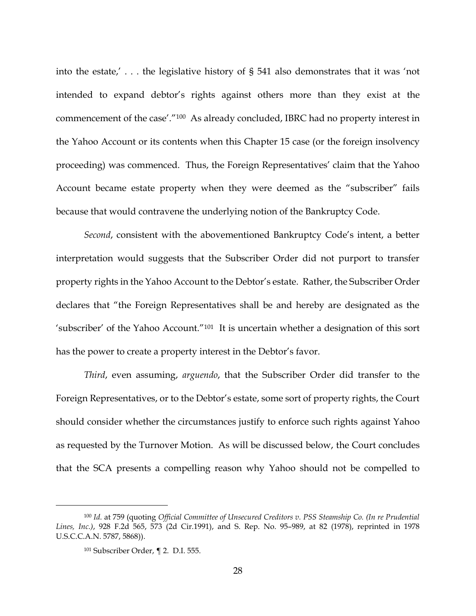into the estate,' . . . the legislative history of § 541 also demonstrates that it was 'not intended to expand debtor's rights against others more than they exist at the commencement of the case'."100 As already concluded, IBRC had no property interest in the Yahoo Account or its contents when this Chapter 15 case (or the foreign insolvency proceeding) was commenced. Thus, the Foreign Representatives' claim that the Yahoo Account became estate property when they were deemed as the "subscriber" fails because that would contravene the underlying notion of the Bankruptcy Code.

*Second*, consistent with the abovementioned Bankruptcy Code's intent, a better interpretation would suggests that the Subscriber Order did not purport to transfer property rights in the Yahoo Account to the Debtor's estate. Rather, the Subscriber Order declares that "the Foreign Representatives shall be and hereby are designated as the 'subscriber' of the Yahoo Account."101 It is uncertain whether a designation of this sort has the power to create a property interest in the Debtor's favor.

*Third*, even assuming, *arguendo*, that the Subscriber Order did transfer to the Foreign Representatives, or to the Debtor's estate, some sort of property rights, the Court should consider whether the circumstances justify to enforce such rights against Yahoo as requested by the Turnover Motion. As will be discussed below, the Court concludes that the SCA presents a compelling reason why Yahoo should not be compelled to

<sup>100</sup> *Id.* at 759 (quoting *Official Committee of Unsecured Creditors v. PSS Steamship Co. (In re Prudential Lines, Inc.)*, 928 F.2d 565, 573 (2d Cir.1991), and S. Rep. No. 95–989, at 82 (1978), reprinted in 1978 U.S.C.C.A.N. 5787, 5868)).

<sup>101</sup> Subscriber Order, ¶ 2. D.I. 555.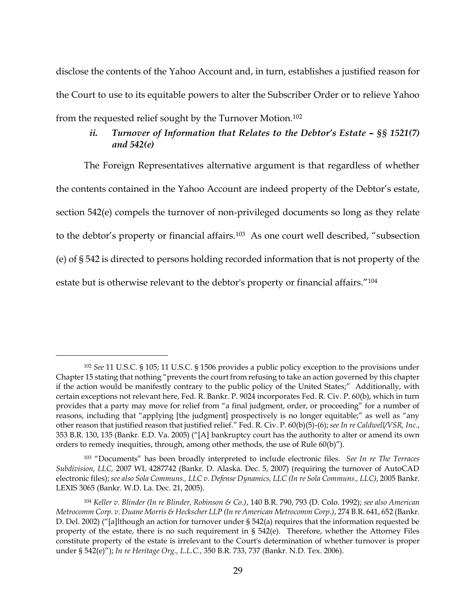disclose the contents of the Yahoo Account and, in turn, establishes a justified reason for the Court to use to its equitable powers to alter the Subscriber Order or to relieve Yahoo from the requested relief sought by the Turnover Motion.<sup>102</sup>

# *ii. Turnover of Information that Relates to the Debtor's Estate – §§ 1521(7) and 542(e)*

The Foreign Representatives alternative argument is that regardless of whether the contents contained in the Yahoo Account are indeed property of the Debtor's estate, section 542(e) compels the turnover of non-privileged documents so long as they relate to the debtor's property or financial affairs.<sup>103</sup> As one court well described, "subsection (e) of § 542 is directed to persons holding recorded information that is not property of the estate but is otherwise relevant to the debtor's property or financial affairs."<sup>104</sup>

<sup>102</sup> *See* 11 U.S.C. § 105; 11 U.S.C. § 1506 provides a public policy exception to the provisions under Chapter 15 stating that nothing "prevents the court from refusing to take an action governed by this chapter if the action would be manifestly contrary to the public policy of the United States;" Additionally, with certain exceptions not relevant here, Fed. R. Bankr. P. 9024 incorporates Fed. R. Civ. P. 60(b), which in turn provides that a party may move for relief from "a final judgment, order, or proceeding" for a number of reasons, including that "applying [the judgment] prospectively is no longer equitable;" as well as "any other reason that justified reason that justified relief." Fed. R. Civ. P. 60(b)(5)-(6); *see In re Caldwell/VSR, Inc.*, 353 B.R. 130, 135 (Bankr. E.D. Va. 2005) ("[A] bankruptcy court has the authority to alter or amend its own orders to remedy inequities, through, among other methods, the use of Rule 60(b)").

<sup>103</sup> "Documents" has been broadly interpreted to include electronic files. *See In re The Terraces Subdivision, LLC,* 2007 WL 4287742 (Bankr. D. Alaska. Dec. 5, 2007) (requiring the turnover of AutoCAD electronic files); *see also Sola Communs., LLC v. Defense Dynamics, LLC (In re Sola Communs., LLC)*, 2005 Bankr. LEXIS 3065 (Bankr. W.D. La. Dec. 21, 2005).

<sup>104</sup> *Keller v. Blinder (In re Blinder, Robinson & Co.)*, 140 B.R. 790, 793 (D. Colo. 1992); *see also American Metrocomm Corp. v. Duane Morris & Heckscher LLP (In re American Metrocomm Corp.)*, 274 B.R. 641, 652 (Bankr. D. Del. 2002) ("[a]lthough an action for turnover under § 542(a) requires that the information requested be property of the estate, there is no such requirement in § 542(e). Therefore, whether the Attorney Files constitute property of the estate is irrelevant to the Court's determination of whether turnover is proper under § 542(e)"); *In re Heritage Org., L.L.C.*, 350 B.R. 733, 737 (Bankr. N.D. Tex. 2006).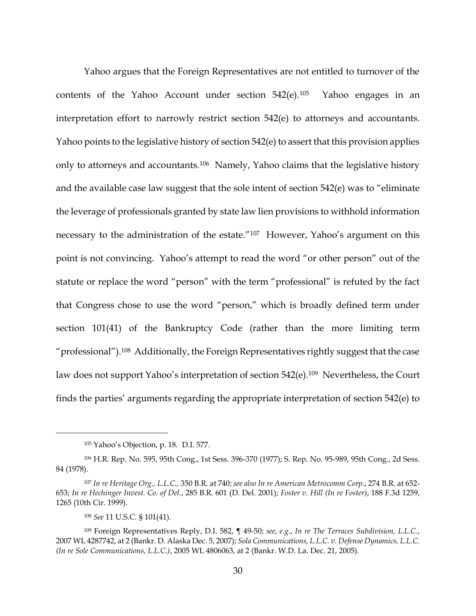Yahoo argues that the Foreign Representatives are not entitled to turnover of the contents of the Yahoo Account under section  $542(e).105$  Yahoo engages in an interpretation effort to narrowly restrict section 542(e) to attorneys and accountants. Yahoo points to the legislative history of section 542(e) to assert that this provision applies only to attorneys and accountants.<sup>106</sup> Namely, Yahoo claims that the legislative history and the available case law suggest that the sole intent of section 542(e) was to "eliminate the leverage of professionals granted by state law lien provisions to withhold information necessary to the administration of the estate."<sup>107</sup> However, Yahoo's argument on this point is not convincing. Yahoo's attempt to read the word "or other person" out of the statute or replace the word "person" with the term "professional" is refuted by the fact that Congress chose to use the word "person," which is broadly defined term under section 101(41) of the Bankruptcy Code (rather than the more limiting term "professional").108 Additionally, the Foreign Representatives rightly suggest that the case law does not support Yahoo's interpretation of section 542(e).<sup>109</sup> Nevertheless, the Court finds the parties' arguments regarding the appropriate interpretation of section 542(e) to

<sup>105</sup> Yahoo's Objection, p. 18. D.I. 577.

<sup>106</sup> H.R. Rep. No. 595, 95th Cong., 1st Sess. 396-370 (1977); S. Rep. No. 95-989, 95th Cong., 2d Sess. 84 (1978).

<sup>107</sup> *In re Heritage Org., L.L.C.,* 350 B.R. at 740; *see also In re American Metrocomm Corp.*, 274 B.R. at 652- 653; *In re Hechinger Invest. Co. of Del.*, 285 B.R. 601 (D. Del. 2001); *Foster v. Hill (In re Foster)*, 188 F.3d 1259, 1265 (10th Cir. 1999).

<sup>108</sup> *See* 11 U.S.C. § 101(41).

<sup>109</sup> Foreign Representatives Reply, D.I. 582, ¶ 49-50; *see*, *e.g.*, *In re The Terraces Subdivision, L.L.C.*, 2007 WL 4287742, at 2 (Bankr. D. Alaska Dec. 5, 2007); *Sola Communications, L.L.C. v. Defense Dynamics, L.L.C. (In re Sole Communications, L.L.C.)*, 2005 WL 4806063, at 2 (Bankr. W.D. La. Dec. 21, 2005).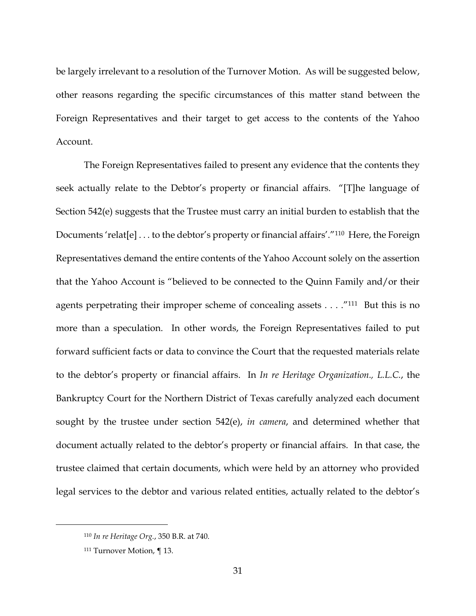be largely irrelevant to a resolution of the Turnover Motion. As will be suggested below, other reasons regarding the specific circumstances of this matter stand between the Foreign Representatives and their target to get access to the contents of the Yahoo Account.

The Foreign Representatives failed to present any evidence that the contents they seek actually relate to the Debtor's property or financial affairs. "[T]he language of Section 542(e) suggests that the Trustee must carry an initial burden to establish that the Documents 'relat[e] . . . to the debtor's property or financial affairs'."<sup>110</sup> Here, the Foreign Representatives demand the entire contents of the Yahoo Account solely on the assertion that the Yahoo Account is "believed to be connected to the Quinn Family and/or their agents perpetrating their improper scheme of concealing assets  $\dots$ ."<sup>111</sup> But this is no more than a speculation. In other words, the Foreign Representatives failed to put forward sufficient facts or data to convince the Court that the requested materials relate to the debtor's property or financial affairs. In *In re Heritage Organization., L.L.C.*, the Bankruptcy Court for the Northern District of Texas carefully analyzed each document sought by the trustee under section 542(e), *in camera*, and determined whether that document actually related to the debtor's property or financial affairs. In that case, the trustee claimed that certain documents, which were held by an attorney who provided legal services to the debtor and various related entities, actually related to the debtor's

<sup>110</sup> *In re Heritage Org.*, 350 B.R. at 740.

<sup>111</sup> Turnover Motion, ¶ 13.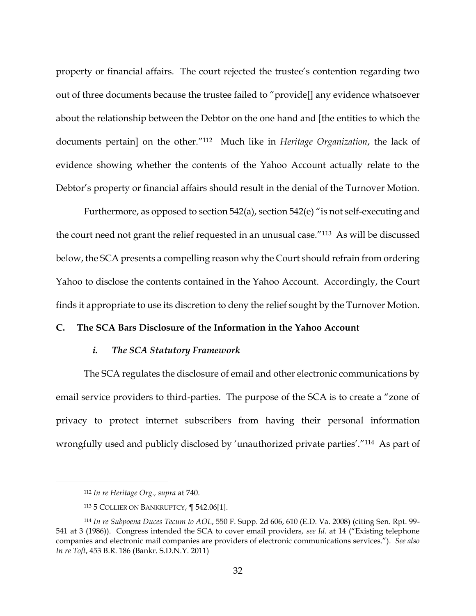property or financial affairs. The court rejected the trustee's contention regarding two out of three documents because the trustee failed to "provide[] any evidence whatsoever about the relationship between the Debtor on the one hand and [the entities to which the documents pertain] on the other."112 Much like in *Heritage Organization*, the lack of evidence showing whether the contents of the Yahoo Account actually relate to the Debtor's property or financial affairs should result in the denial of the Turnover Motion.

Furthermore, as opposed to section 542(a), section 542(e) "is not self-executing and the court need not grant the relief requested in an unusual case."113 As will be discussed below, the SCA presents a compelling reason why the Court should refrain from ordering Yahoo to disclose the contents contained in the Yahoo Account. Accordingly, the Court finds it appropriate to use its discretion to deny the relief sought by the Turnover Motion.

# **C. The SCA Bars Disclosure of the Information in the Yahoo Account**

## *i. The SCA Statutory Framework*

The SCA regulates the disclosure of email and other electronic communications by email service providers to third-parties. The purpose of the SCA is to create a "zone of privacy to protect internet subscribers from having their personal information wrongfully used and publicly disclosed by 'unauthorized private parties'."<sup>114</sup> As part of

<sup>112</sup> *In re Heritage Org., supra* at 740.

<sup>113</sup> 5 COLLIER ON BANKRUPTCY, ¶ 542.06[1].

<sup>114</sup> *In re Subpoena Duces Tecum to AOL*, 550 F. Supp. 2d 606, 610 (E.D. Va. 2008) (citing Sen. Rpt. 99- 541 at 3 (1986)). Congress intended the SCA to cover email providers, *see Id.* at 14 ("Existing telephone companies and electronic mail companies are providers of electronic communications services."). *See also In re Toft*, 453 B.R. 186 (Bankr. S.D.N.Y. 2011)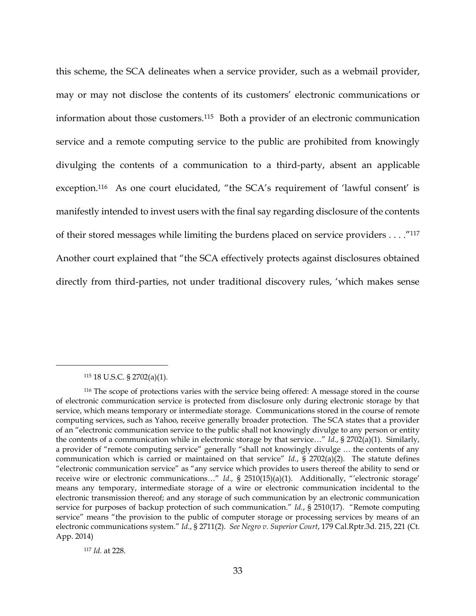this scheme, the SCA delineates when a service provider, such as a webmail provider, may or may not disclose the contents of its customers' electronic communications or information about those customers.115 Both a provider of an electronic communication service and a remote computing service to the public are prohibited from knowingly divulging the contents of a communication to a third-party, absent an applicable exception. <sup>116</sup> As one court elucidated, "the SCA's requirement of 'lawful consent' is manifestly intended to invest users with the final say regarding disclosure of the contents of their stored messages while limiting the burdens placed on service providers . . . ."<sup>117</sup> Another court explained that "the SCA effectively protects against disclosures obtained directly from third-parties, not under traditional discovery rules, 'which makes sense

<sup>115</sup> 18 U.S.C. § 2702(a)(1).

 $\overline{a}$ 

<sup>117</sup> *Id.* at 228.

<sup>116</sup> The scope of protections varies with the service being offered: A message stored in the course of electronic communication service is protected from disclosure only during electronic storage by that service, which means temporary or intermediate storage. Communications stored in the course of remote computing services, such as Yahoo, receive generally broader protection. The SCA states that a provider of an "electronic communication service to the public shall not knowingly divulge to any person or entity the contents of a communication while in electronic storage by that service…" *Id.*, § 2702(a)(1). Similarly, a provider of "remote computing service" generally "shall not knowingly divulge … the contents of any communication which is carried or maintained on that service" *Id.*, § 2702(a)(2). The statute defines "electronic communication service" as "any service which provides to users thereof the ability to send or receive wire or electronic communications…" *Id.,* § 2510(15)(a)(1). Additionally, "'electronic storage' means any temporary, intermediate storage of a wire or electronic communication incidental to the electronic transmission thereof; and any storage of such communication by an electronic communication service for purposes of backup protection of such communication." *Id.*, § 2510(17). "Remote computing service" means "the provision to the public of computer storage or processing services by means of an electronic communications system." *Id.*, § 2711(2). *See Negro v. Superior Court*, 179 Cal.Rptr.3d. 215, 221 (Ct. App. 2014)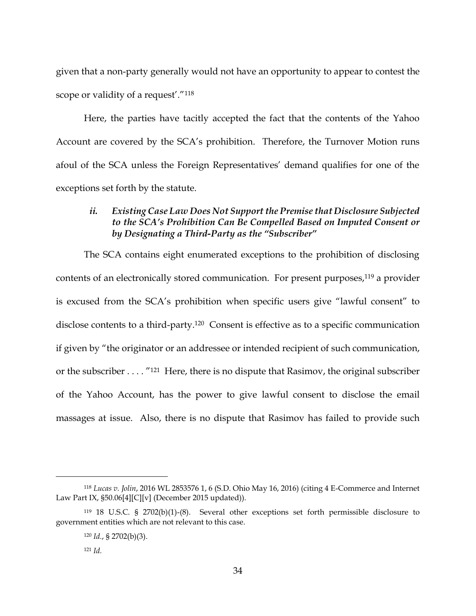given that a non-party generally would not have an opportunity to appear to contest the scope or validity of a request'."<sup>118</sup>

Here, the parties have tacitly accepted the fact that the contents of the Yahoo Account are covered by the SCA's prohibition. Therefore, the Turnover Motion runs afoul of the SCA unless the Foreign Representatives' demand qualifies for one of the exceptions set forth by the statute.

# *ii. Existing Case Law Does Not Support the Premise that Disclosure Subjected to the SCA's Prohibition Can Be Compelled Based on Imputed Consent or by Designating a Third-Party as the "Subscriber"*

The SCA contains eight enumerated exceptions to the prohibition of disclosing contents of an electronically stored communication. For present purposes, $119$  a provider is excused from the SCA's prohibition when specific users give "lawful consent" to disclose contents to a third-party.120 Consent is effective as to a specific communication if given by "the originator or an addressee or intended recipient of such communication, or the subscriber . . . . "121 Here, there is no dispute that Rasimov, the original subscriber of the Yahoo Account, has the power to give lawful consent to disclose the email massages at issue. Also, there is no dispute that Rasimov has failed to provide such

<sup>118</sup> *Lucas v. Jolin*, 2016 WL 2853576 1, 6 (S.D. Ohio May 16, 2016) (citing 4 E-Commerce and Internet Law Part IX,  $$50.06[4][C][v]$  (December 2015 updated)).

<sup>119</sup> 18 U.S.C. § 2702(b)(1)-(8). Several other exceptions set forth permissible disclosure to government entities which are not relevant to this case.

<sup>120</sup> *Id.*, § 2702(b)(3).

<sup>121</sup> *Id.*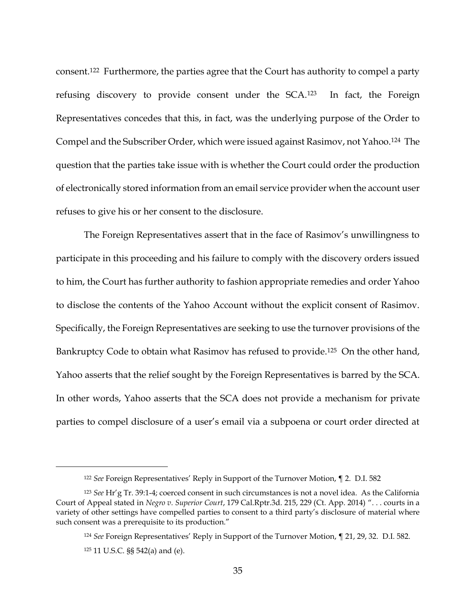consent.122 Furthermore, the parties agree that the Court has authority to compel a party refusing discovery to provide consent under the SCA.123 In fact, the Foreign Representatives concedes that this, in fact, was the underlying purpose of the Order to Compel and the Subscriber Order, which were issued against Rasimov, not Yahoo.124 The question that the parties take issue with is whether the Court could order the production of electronically stored information from an email service provider when the account user refuses to give his or her consent to the disclosure.

The Foreign Representatives assert that in the face of Rasimov's unwillingness to participate in this proceeding and his failure to comply with the discovery orders issued to him, the Court has further authority to fashion appropriate remedies and order Yahoo to disclose the contents of the Yahoo Account without the explicit consent of Rasimov. Specifically, the Foreign Representatives are seeking to use the turnover provisions of the Bankruptcy Code to obtain what Rasimov has refused to provide.<sup>125</sup> On the other hand, Yahoo asserts that the relief sought by the Foreign Representatives is barred by the SCA. In other words, Yahoo asserts that the SCA does not provide a mechanism for private parties to compel disclosure of a user's email via a subpoena or court order directed at

<sup>122</sup> *See* Foreign Representatives' Reply in Support of the Turnover Motion, ¶ 2. D.I. 582

<sup>123</sup> *See* Hr'g Tr. 39:1-4; coerced consent in such circumstances is not a novel idea. As the California Court of Appeal stated in *Negro v. Superior Court*, 179 Cal.Rptr.3d. 215, 229 (Ct. App. 2014) ". . . courts in a variety of other settings have compelled parties to consent to a third party's disclosure of material where such consent was a prerequisite to its production."

<sup>124</sup> *See* Foreign Representatives' Reply in Support of the Turnover Motion, ¶ 21, 29, 32. D.I. 582.

<sup>125</sup> 11 U.S.C. §§ 542(a) and (e).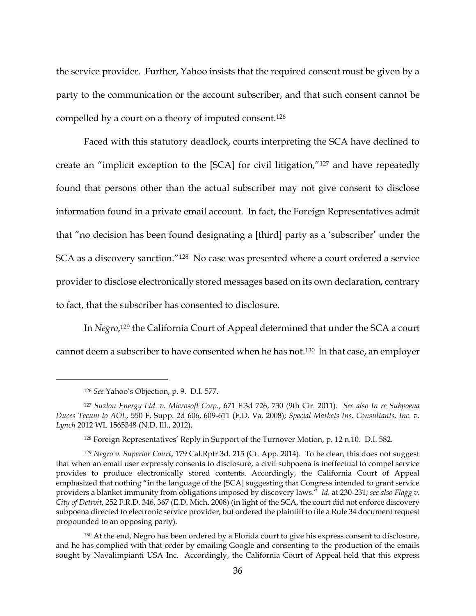the service provider. Further, Yahoo insists that the required consent must be given by a party to the communication or the account subscriber, and that such consent cannot be compelled by a court on a theory of imputed consent.<sup>126</sup>

Faced with this statutory deadlock, courts interpreting the SCA have declined to create an "implicit exception to the [SCA] for civil litigation,"<sup>127</sup> and have repeatedly found that persons other than the actual subscriber may not give consent to disclose information found in a private email account. In fact, the Foreign Representatives admit that "no decision has been found designating a [third] party as a 'subscriber' under the SCA as a discovery sanction."128 No case was presented where a court ordered a service provider to disclose electronically stored messages based on its own declaration, contrary to fact, that the subscriber has consented to disclosure.

In *Negro*, <sup>129</sup> the California Court of Appeal determined that under the SCA a court cannot deem a subscriber to have consented when he has not.130 In that case, an employer

<sup>126</sup> *See* Yahoo's Objection, p. 9. D.I. 577.

<sup>127</sup> *Suzlon Energy Ltd. v. Microsoft Corp.*, 671 F.3d 726, 730 (9th Cir. 2011). *See also In re Subpoena Duces Tecum to AOL*, 550 F. Supp. 2d 606, 609-611 (E.D. Va. 2008); *Special Markets Ins. Consultants, Inc. v. Lynch* 2012 WL 1565348 (N.D. Ill., 2012).

<sup>128</sup> Foreign Representatives' Reply in Support of the Turnover Motion, p. 12 n.10. D.I. 582.

<sup>129</sup> *Negro v. Superior Court*, 179 Cal.Rptr.3d. 215 (Ct. App. 2014). To be clear, this does not suggest that when an email user expressly consents to disclosure, a civil subpoena is ineffectual to compel service provides to produce electronically stored contents. Accordingly, the California Court of Appeal emphasized that nothing "in the language of the [SCA] suggesting that Congress intended to grant service providers a blanket immunity from obligations imposed by discovery laws." *Id.* at 230-231; *see also Flagg v. City of Detroit*, 252 F.R.D. 346, 367 (E.D. Mich. 2008) (in light of the SCA, the court did not enforce discovery subpoena directed to electronic service provider, but ordered the plaintiff to file a Rule 34 document request propounded to an opposing party).

<sup>&</sup>lt;sup>130</sup> At the end, Negro has been ordered by a Florida court to give his express consent to disclosure, and he has complied with that order by emailing Google and consenting to the production of the emails sought by Navalimpianti USA Inc. Accordingly, the California Court of Appeal held that this express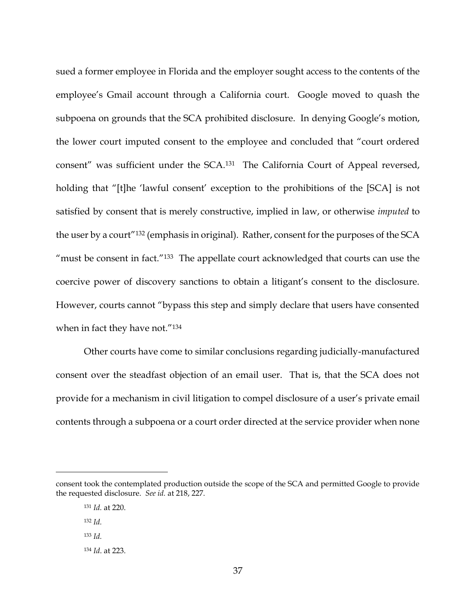sued a former employee in Florida and the employer sought access to the contents of the employee's Gmail account through a California court. Google moved to quash the subpoena on grounds that the SCA prohibited disclosure. In denying Google's motion, the lower court imputed consent to the employee and concluded that "court ordered consent" was sufficient under the SCA.131 The California Court of Appeal reversed, holding that "[t]he 'lawful consent' exception to the prohibitions of the [SCA] is not satisfied by consent that is merely constructive, implied in law, or otherwise *imputed* to the user by a court"<sup>132</sup> (emphasis in original). Rather, consent for the purposes of the SCA "must be consent in fact."133 The appellate court acknowledged that courts can use the coercive power of discovery sanctions to obtain a litigant's consent to the disclosure. However, courts cannot "bypass this step and simply declare that users have consented when in fact they have not."<sup>134</sup>

Other courts have come to similar conclusions regarding judicially-manufactured consent over the steadfast objection of an email user. That is, that the SCA does not provide for a mechanism in civil litigation to compel disclosure of a user's private email contents through a subpoena or a court order directed at the service provider when none

consent took the contemplated production outside the scope of the SCA and permitted Google to provide the requested disclosure. *See id.* at 218, 227.

<sup>131</sup> *Id.* at 220.

<sup>132</sup> *Id.*

<sup>133</sup> *Id.* 

<sup>134</sup> *Id*. at 223.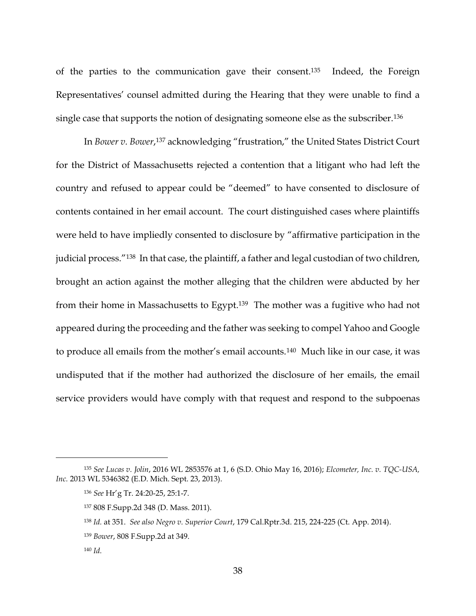of the parties to the communication gave their consent.135 Indeed, the Foreign Representatives' counsel admitted during the Hearing that they were unable to find a single case that supports the notion of designating someone else as the subscriber.<sup>136</sup>

In *Bower v. Bower*, <sup>137</sup> acknowledging "frustration," the United States District Court for the District of Massachusetts rejected a contention that a litigant who had left the country and refused to appear could be "deemed" to have consented to disclosure of contents contained in her email account. The court distinguished cases where plaintiffs were held to have impliedly consented to disclosure by "affirmative participation in the judicial process."138 In that case, the plaintiff, a father and legal custodian of two children, brought an action against the mother alleging that the children were abducted by her from their home in Massachusetts to Egypt.139 The mother was a fugitive who had not appeared during the proceeding and the father was seeking to compel Yahoo and Google to produce all emails from the mother's email accounts.140 Much like in our case, it was undisputed that if the mother had authorized the disclosure of her emails, the email service providers would have comply with that request and respond to the subpoenas

<sup>135</sup> *See Lucas v. Jolin*, 2016 WL 2853576 at 1, 6 (S.D. Ohio May 16, 2016); *Elcometer, Inc. v. TQC-USA, Inc.* 2013 WL 5346382 (E.D. Mich. Sept. 23, 2013).

<sup>136</sup> *See* Hr'g Tr. 24:20-25, 25:1-7.

<sup>137</sup> 808 F.Supp.2d 348 (D. Mass. 2011).

<sup>138</sup> *Id.* at 351. *See also Negro v. Superior Court*, 179 Cal.Rptr.3d. 215, 224-225 (Ct. App. 2014).

<sup>139</sup> *Bower*, 808 F.Supp.2d at 349.

<sup>140</sup> *Id.*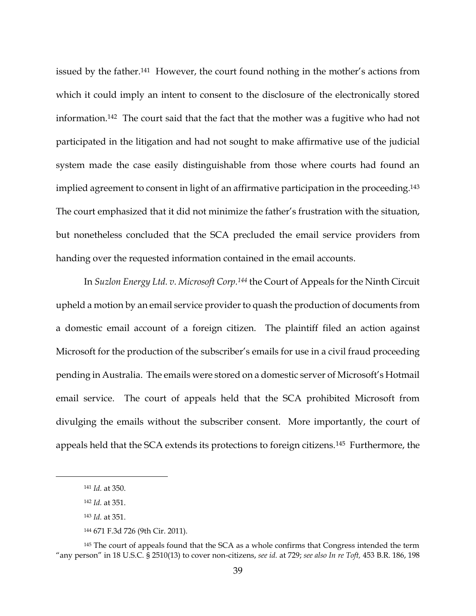issued by the father.<sup>141</sup> However, the court found nothing in the mother's actions from which it could imply an intent to consent to the disclosure of the electronically stored information.<sup>142</sup> The court said that the fact that the mother was a fugitive who had not participated in the litigation and had not sought to make affirmative use of the judicial system made the case easily distinguishable from those where courts had found an implied agreement to consent in light of an affirmative participation in the proceeding. <sup>143</sup> The court emphasized that it did not minimize the father's frustration with the situation, but nonetheless concluded that the SCA precluded the email service providers from handing over the requested information contained in the email accounts.

In *Suzlon Energy Ltd. v. Microsoft Corp.<sup>144</sup>* the Court of Appeals for the Ninth Circuit upheld a motion by an email service provider to quash the production of documents from a domestic email account of a foreign citizen. The plaintiff filed an action against Microsoft for the production of the subscriber's emails for use in a civil fraud proceeding pending in Australia. The emails were stored on a domestic server of Microsoft's Hotmail email service. The court of appeals held that the SCA prohibited Microsoft from divulging the emails without the subscriber consent. More importantly, the court of appeals held that the SCA extends its protections to foreign citizens.145 Furthermore, the

<sup>141</sup> *Id.* at 350.

<sup>142</sup> *Id.* at 351.

<sup>143</sup> *Id.* at 351.

<sup>144</sup> 671 F.3d 726 (9th Cir. 2011).

<sup>&</sup>lt;sup>145</sup> The court of appeals found that the SCA as a whole confirms that Congress intended the term "any person" in 18 U.S.C. § 2510(13) to cover non-citizens, *see id.* at 729; *see also In re Toft,* 453 B.R. 186, 198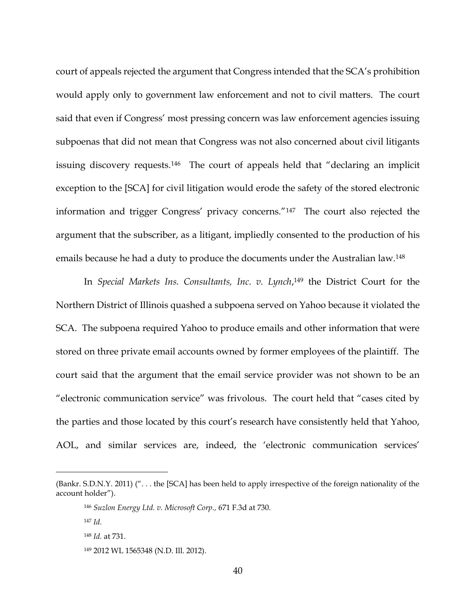court of appeals rejected the argument that Congress intended that the SCA's prohibition would apply only to government law enforcement and not to civil matters. The court said that even if Congress' most pressing concern was law enforcement agencies issuing subpoenas that did not mean that Congress was not also concerned about civil litigants issuing discovery requests.<sup>146</sup> The court of appeals held that "declaring an implicit exception to the [SCA] for civil litigation would erode the safety of the stored electronic information and trigger Congress' privacy concerns."147 The court also rejected the argument that the subscriber, as a litigant, impliedly consented to the production of his emails because he had a duty to produce the documents under the Australian law.<sup>148</sup>

In *Special Markets Ins. Consultants, Inc. v. Lynch*, <sup>149</sup> the District Court for the Northern District of Illinois quashed a subpoena served on Yahoo because it violated the SCA. The subpoena required Yahoo to produce emails and other information that were stored on three private email accounts owned by former employees of the plaintiff. The court said that the argument that the email service provider was not shown to be an "electronic communication service" was frivolous. The court held that "cases cited by the parties and those located by this court's research have consistently held that Yahoo, AOL, and similar services are, indeed, the 'electronic communication services'

<sup>(</sup>Bankr. S.D.N.Y. 2011) (". . . the [SCA] has been held to apply irrespective of the foreign nationality of the account holder").

<sup>146</sup> *Suzlon Energy Ltd. v. Microsoft Corp.,* 671 F.3d at 730.

<sup>147</sup> *Id.* 

<sup>148</sup> *Id.* at 731.

<sup>149</sup> 2012 WL 1565348 (N.D. Ill. 2012).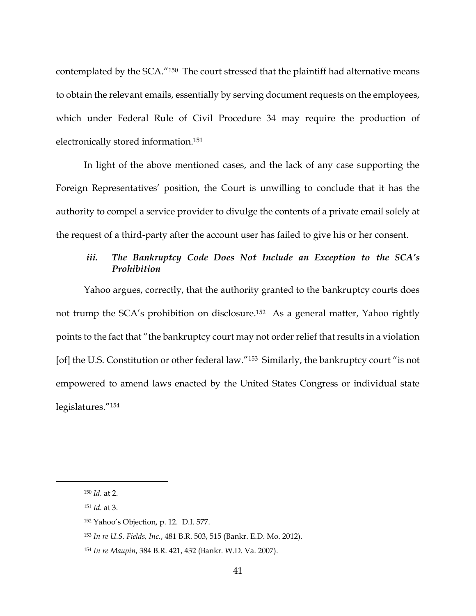contemplated by the SCA."150 The court stressed that the plaintiff had alternative means to obtain the relevant emails, essentially by serving document requests on the employees, which under Federal Rule of Civil Procedure 34 may require the production of electronically stored information.<sup>151</sup>

In light of the above mentioned cases, and the lack of any case supporting the Foreign Representatives' position, the Court is unwilling to conclude that it has the authority to compel a service provider to divulge the contents of a private email solely at the request of a third-party after the account user has failed to give his or her consent.

# *iii. The Bankruptcy Code Does Not Include an Exception to the SCA's Prohibition*

Yahoo argues, correctly, that the authority granted to the bankruptcy courts does not trump the SCA's prohibition on disclosure.152 As a general matter, Yahoo rightly points to the fact that "the bankruptcy court may not order relief that results in a violation [of] the U.S. Constitution or other federal law."<sup>153</sup> Similarly, the bankruptcy court "is not empowered to amend laws enacted by the United States Congress or individual state legislatures."<sup>154</sup>

<sup>150</sup> *Id.* at 2.

<sup>151</sup> *Id.* at 3.

<sup>152</sup> Yahoo's Objection, p. 12. D.I. 577.

<sup>153</sup> *In re U.S. Fields, Inc.*, 481 B.R. 503, 515 (Bankr. E.D. Mo. 2012).

<sup>154</sup> *In re Maupin*, 384 B.R. 421, 432 (Bankr. W.D. Va. 2007).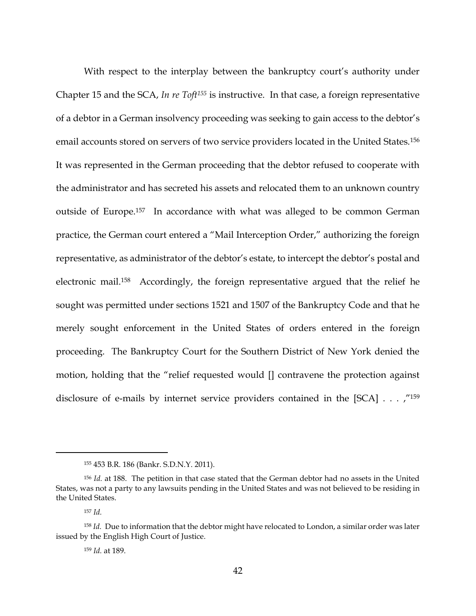With respect to the interplay between the bankruptcy court's authority under Chapter 15 and the SCA, *In re Toft<sup>155</sup>* is instructive. In that case, a foreign representative of a debtor in a German insolvency proceeding was seeking to gain access to the debtor's email accounts stored on servers of two service providers located in the United States.<sup>156</sup> It was represented in the German proceeding that the debtor refused to cooperate with the administrator and has secreted his assets and relocated them to an unknown country outside of Europe.157 In accordance with what was alleged to be common German practice, the German court entered a "Mail Interception Order," authorizing the foreign representative, as administrator of the debtor's estate, to intercept the debtor's postal and electronic mail.158 Accordingly, the foreign representative argued that the relief he sought was permitted under sections 1521 and 1507 of the Bankruptcy Code and that he merely sought enforcement in the United States of orders entered in the foreign proceeding. The Bankruptcy Court for the Southern District of New York denied the motion, holding that the "relief requested would [] contravene the protection against disclosure of e-mails by internet service providers contained in the [SCA] . . . ,"<sup>159</sup>

<sup>155</sup> 453 B.R. 186 (Bankr. S.D.N.Y. 2011).

<sup>156</sup> *Id.* at 188. The petition in that case stated that the German debtor had no assets in the United States, was not a party to any lawsuits pending in the United States and was not believed to be residing in the United States.

<sup>157</sup> *Id.*

<sup>158</sup> *Id.* Due to information that the debtor might have relocated to London, a similar order was later issued by the English High Court of Justice.

<sup>159</sup> *Id.* at 189.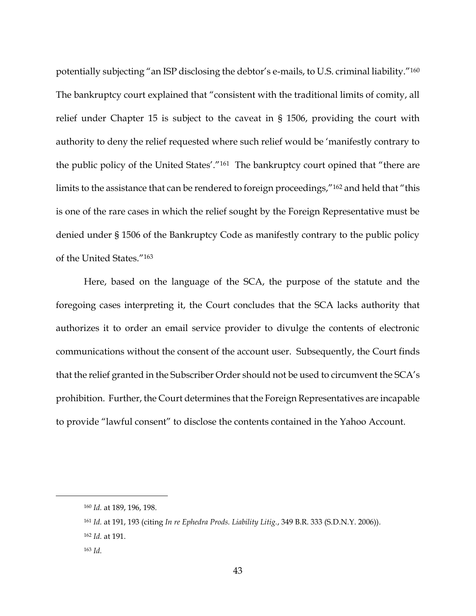potentially subjecting "an ISP disclosing the debtor's e-mails, to U.S. criminal liability."<sup>160</sup> The bankruptcy court explained that "consistent with the traditional limits of comity, all relief under Chapter 15 is subject to the caveat in § 1506, providing the court with authority to deny the relief requested where such relief would be 'manifestly contrary to the public policy of the United States'."161 The bankruptcy court opined that "there are limits to the assistance that can be rendered to foreign proceedings,"<sup>162</sup> and held that "this is one of the rare cases in which the relief sought by the Foreign Representative must be denied under § 1506 of the Bankruptcy Code as manifestly contrary to the public policy of the United States."<sup>163</sup>

Here, based on the language of the SCA, the purpose of the statute and the foregoing cases interpreting it, the Court concludes that the SCA lacks authority that authorizes it to order an email service provider to divulge the contents of electronic communications without the consent of the account user. Subsequently, the Court finds that the relief granted in the Subscriber Order should not be used to circumvent the SCA's prohibition. Further, the Court determines that the Foreign Representatives are incapable to provide "lawful consent" to disclose the contents contained in the Yahoo Account.

<sup>160</sup> *Id.* at 189, 196, 198.

<sup>161</sup> *Id.* at 191, 193 (citing *In re Ephedra Prods. Liability Litig.*, 349 B.R. 333 (S.D.N.Y. 2006)).

<sup>162</sup> *Id.* at 191.

<sup>163</sup> *Id.*